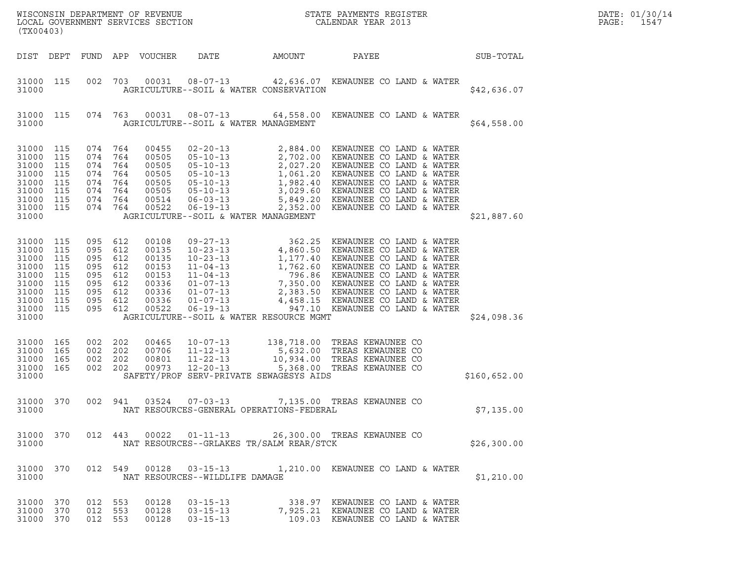| (TX00403)                                                                                  |                                                      |                                                                 |                                                      |                                                                               |                                                                                            |                                          | $\tt WISCONSIM DEPARTMENT OF REVENUE$ $\tt WISCONSIMENT$ SERVICES SECTION $\tt CALENDAR$ YEAR 2013                                                                                                                                                                                                                                                                  |              | DATE: 01/30/14<br>PAGE:<br>1547 |
|--------------------------------------------------------------------------------------------|------------------------------------------------------|-----------------------------------------------------------------|------------------------------------------------------|-------------------------------------------------------------------------------|--------------------------------------------------------------------------------------------|------------------------------------------|---------------------------------------------------------------------------------------------------------------------------------------------------------------------------------------------------------------------------------------------------------------------------------------------------------------------------------------------------------------------|--------------|---------------------------------|
| DIST DEPT                                                                                  |                                                      |                                                                 |                                                      | FUND APP VOUCHER                                                              | DATE                                                                                       | AMOUNT                                   | PAYEE                                                                                                                                                                                                                                                                                                                                                               | SUB-TOTAL    |                                 |
| 31000 115<br>31000                                                                         |                                                      | 002                                                             |                                                      |                                                                               |                                                                                            | AGRICULTURE--SOIL & WATER CONSERVATION   | 703  00031  08-07-13  42,636.07  KEWAUNEE CO LAND & WATER                                                                                                                                                                                                                                                                                                           | \$42,636.07  |                                 |
| 31000 115<br>31000                                                                         |                                                      | 074                                                             | 763                                                  | 00031                                                                         | AGRICULTURE--SOIL & WATER MANAGEMENT                                                       |                                          | 08-07-13 64,558.00 KEWAUNEE CO LAND & WATER                                                                                                                                                                                                                                                                                                                         | \$64,558.00  |                                 |
| 31000<br>31000<br>31000<br>31000<br>31000<br>31000<br>31000<br>31000<br>31000              | 115<br>115<br>115<br>115<br>115<br>115<br>115<br>115 | 074<br>074<br>074<br>074<br>074<br>074<br>074<br>074            | 764<br>764<br>764<br>764<br>764<br>764<br>764<br>764 | 00455<br>00505<br>00505<br>00505<br>00505<br>00505<br>00514<br>00522          | $02 - 20 - 13$<br>$06 - 03 - 13$<br>$06 - 19 - 13$<br>AGRICULTURE--SOIL & WATER MANAGEMENT |                                          | 2,884.00 KEWAUNEE CO LAND & WATER<br>05-10-13<br>05-10-13<br>05-10-13<br>2,702.20 KEWAUNEE CO LAND & WATER<br>05-10-13<br>1,982.40 KEWAUNEE CO LAND & WATER<br>05-10-13<br>3,029.60 KEWAUNEE CO LAND & WATER<br>05-10-13<br>3,029.60 KEWAUNEE CO LAND & WATER<br>06-03-13<br>5,849.20 KEW<br>5,849.20 KEWAUNEE CO LAND & WATER<br>2,352.00 KEWAUNEE CO LAND & WATER | \$21,887.60  |                                 |
| 31000<br>31000<br>31000<br>31000<br>31000<br>31000<br>31000<br>31000<br>31000 115<br>31000 | 115<br>115<br>115<br>115<br>115<br>115<br>115<br>115 | 095<br>095<br>095<br>095<br>095<br>095<br>095<br>095<br>095 612 | 612<br>612<br>612<br>612<br>612<br>612<br>612<br>612 | 00108<br>00135<br>00135<br>00153<br>00153<br>00336<br>00336<br>00336<br>00522 |                                                                                            | AGRICULTURE--SOIL & WATER RESOURCE MGMT  | 09-27-13<br>10-23-13<br>4,860.50 KEWAUNEE CO LAND & WATER<br>10-23-13<br>1,177.40 KEWAUNEE CO LAND & WATER<br>11-04-13<br>1,762.60 KEWAUNEE CO LAND & WATER<br>11-04-13<br>796.86 KEWAUNEE CO LAND & WATER<br>01-07-13<br>2,383.50 KEWAUNEE CO LAN<br>947.10 KEWAUNEE CO LAND & WATER                                                                               | \$24,098.36  |                                 |
| 31000<br>31000<br>31000<br>31000<br>31000                                                  | 165<br>165<br>165<br>165                             | 002<br>002<br>002<br>002                                        | 202<br>202<br>202<br>202                             | 00465<br>00706<br>00801<br>00973                                              | $10 - 07 - 13$<br>$11 - 12 - 13$<br>$11 - 22 - 13$<br>$12 - 20 - 13$                       | SAFETY/PROF SERV-PRIVATE SEWAGESYS AIDS  | 138,718.00 TREAS KEWAUNEE CO<br>5,632.00 TREAS KEWAUNEE CO<br>10,934.00 TREAS KEWAUNEE CO<br>5,368.00 TREAS KEWAUNEE CO                                                                                                                                                                                                                                             | \$160,652.00 |                                 |
| 31000 370<br>31000                                                                         |                                                      | 002 941                                                         |                                                      | 03524                                                                         | $07 - 03 - 13$                                                                             | NAT RESOURCES-GENERAL OPERATIONS-FEDERAL | 7,135.00 TREAS KEWAUNEE CO                                                                                                                                                                                                                                                                                                                                          | \$7,135.00   |                                 |
| 31000 370<br>31000                                                                         |                                                      |                                                                 |                                                      |                                                                               |                                                                                            | NAT RESOURCES--GRLAKES TR/SALM REAR/STCK | 012 443 00022 01-11-13 26,300.00 TREAS KEWAUNEE CO                                                                                                                                                                                                                                                                                                                  | \$26,300.00  |                                 |
| 31000 370<br>31000                                                                         |                                                      |                                                                 |                                                      |                                                                               | NAT RESOURCES--WILDLIFE DAMAGE                                                             |                                          | 012 549 00128 03-15-13 1,210.00 KEWAUNEE CO LAND & WATER                                                                                                                                                                                                                                                                                                            | \$1,210.00   |                                 |
| 31000 370<br>31000 370<br>31000 370                                                        |                                                      | 012 553<br>012 553<br>012 553                                   |                                                      | 00128<br>00128<br>00128                                                       |                                                                                            |                                          | 03-15-13 338.97 KEWAUNEE CO LAND & WATER<br>03-15-13 7,925.21 KEWAUNEE CO LAND & WATER                                                                                                                                                                                                                                                                              |              |                                 |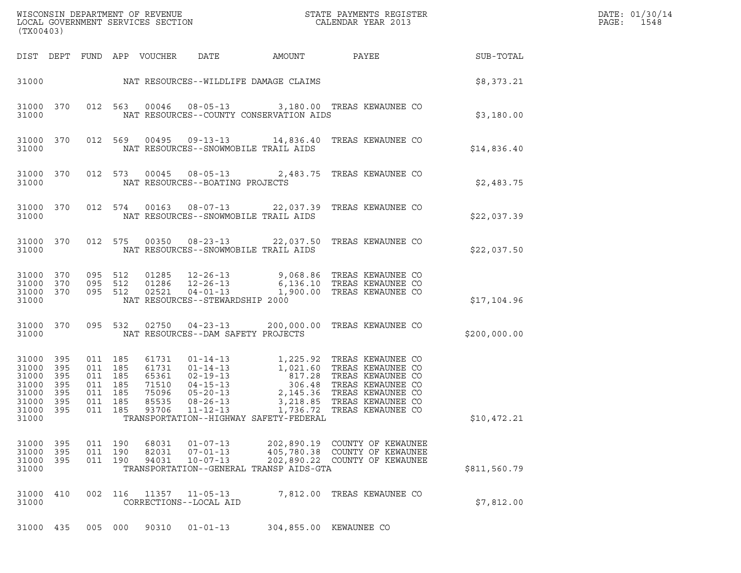|                                                                                                                                                                                                                                                                                                                                                                                                                                                                                                                                                                                                                                                                                  | $\mathcal{L}(\mathcal{L}^{\text{max}}_{\mathcal{L}^{\text{max}}_{\mathcal{L}^{\text{max}}_{\mathcal{L}^{\text{max}}_{\mathcal{L}^{\text{max}}_{\mathcal{L}^{\text{max}}_{\mathcal{L}^{\text{max}}_{\mathcal{L}^{\text{max}}_{\mathcal{L}^{\text{max}}_{\mathcal{L}^{\text{max}}_{\mathcal{L}^{\text{max}}_{\mathcal{L}^{\text{max}}_{\mathcal{L}^{\text{max}}_{\mathcal{L}^{\text{max}}_{\mathcal{L}^{\text{max}}_{\mathcal{L}^{\text{max}}_{\mathcal{L}$ | DATE: 01/30/14<br>PAGE:<br>1548 |
|----------------------------------------------------------------------------------------------------------------------------------------------------------------------------------------------------------------------------------------------------------------------------------------------------------------------------------------------------------------------------------------------------------------------------------------------------------------------------------------------------------------------------------------------------------------------------------------------------------------------------------------------------------------------------------|-----------------------------------------------------------------------------------------------------------------------------------------------------------------------------------------------------------------------------------------------------------------------------------------------------------------------------------------------------------------------------------------------------------------------------------------------------------|---------------------------------|
| (TX00403)                                                                                                                                                                                                                                                                                                                                                                                                                                                                                                                                                                                                                                                                        |                                                                                                                                                                                                                                                                                                                                                                                                                                                           |                                 |
| DIST DEPT FUND APP VOUCHER DATE<br>AMOUNT PAYEE SUB-TOTAL                                                                                                                                                                                                                                                                                                                                                                                                                                                                                                                                                                                                                        |                                                                                                                                                                                                                                                                                                                                                                                                                                                           |                                 |
| 31000 NAT RESOURCES--WILDLIFE DAMAGE CLAIMS S8,373.21                                                                                                                                                                                                                                                                                                                                                                                                                                                                                                                                                                                                                            |                                                                                                                                                                                                                                                                                                                                                                                                                                                           |                                 |
| 012 563 00046 08-05-13 3,180.00 TREAS KEWAUNEE CO<br>31000 370<br>NAT RESOURCES--COUNTY CONSERVATION AIDS<br>31000                                                                                                                                                                                                                                                                                                                                                                                                                                                                                                                                                               | \$3,180.00                                                                                                                                                                                                                                                                                                                                                                                                                                                |                                 |
| 012 569 00495 09-13-13 14,836.40 TREAS KEWAUNEE CO<br>31000 370<br>NAT RESOURCES--SNOWMOBILE TRAIL AIDS<br>31000                                                                                                                                                                                                                                                                                                                                                                                                                                                                                                                                                                 | \$14,836.40                                                                                                                                                                                                                                                                                                                                                                                                                                               |                                 |
| 012 573 00045 08-05-13 2,483.75 TREAS KEWAUNEE CO<br>31000 370<br>NAT RESOURCES--BOATING PROJECTS<br>31000                                                                                                                                                                                                                                                                                                                                                                                                                                                                                                                                                                       | \$2,483.75                                                                                                                                                                                                                                                                                                                                                                                                                                                |                                 |
| 012 574 00163 08-07-13 22,037.39 TREAS KEWAUNEE CO<br>31000 370<br>NAT RESOURCES--SNOWMOBILE TRAIL AIDS<br>31000                                                                                                                                                                                                                                                                                                                                                                                                                                                                                                                                                                 | \$22,037.39                                                                                                                                                                                                                                                                                                                                                                                                                                               |                                 |
| 012 575 00350 08-23-13 22,037.50 TREAS KEWAUNEE CO<br>31000 370<br>NAT RESOURCES--SNOWMOBILE TRAIL AIDS<br>31000                                                                                                                                                                                                                                                                                                                                                                                                                                                                                                                                                                 | \$22,037.50                                                                                                                                                                                                                                                                                                                                                                                                                                               |                                 |
| 095 512 01285 12-26-13 9,068.86 TREAS— KEWAUNEE CO<br>095 512 01286 12-26-13 6,136.10 TREAS— KEWAUNEE CO<br>095 512 02521 04-01-13 1,900.00 TREAS— KEWAUNEE CO<br>31000 370<br>31000 370<br>31000 370<br>NAT RESOURCES--STEWARDSHIP 2000<br>31000                                                                                                                                                                                                                                                                                                                                                                                                                                | \$17,104.96                                                                                                                                                                                                                                                                                                                                                                                                                                               |                                 |
| 095 532 02750 04-23-13 200,000.00 TREAS KEWAUNEE CO<br>31000 370<br>NAT RESOURCES--DAM SAFETY PROJECTS<br>31000                                                                                                                                                                                                                                                                                                                                                                                                                                                                                                                                                                  | \$200,000.00                                                                                                                                                                                                                                                                                                                                                                                                                                              |                                 |
| 01-14-13<br>01-14-13<br>02-19-13<br>02-19-13<br>04-15-13<br>05-20-13<br>02-26-12<br>02-26-12<br>02-26-12<br>02-26-12<br>02-26-12<br>02-26-22<br>02-20-12<br>02-20-12<br>02-20-12<br>02-20-12<br>02-20-12<br>02-20-12<br>02-20-12<br>02-20-12<br>02-20-12<br>02-20-12<br>02<br>31000 395<br>011 185<br>61731<br>31000 395<br>011 185<br>61731<br>65361<br>31000<br>395<br>011 185<br>31000<br>395<br>011 185<br>71510<br>31000<br>395<br>011 185<br>75096<br>31000 395<br>011 185<br>85535<br>$08 - 26 - 13$<br>3,218.85 TREAS KEWAUNEE CO<br>31000<br>395<br>011 185<br>93706<br>$11 - 12 - 13$<br>1,736.72 TREAS KEWAUNEE CO<br>31000<br>TRANSPORTATION--HIGHWAY SAFETY-FEDERAL | \$10,472.21                                                                                                                                                                                                                                                                                                                                                                                                                                               |                                 |
|                                                                                                                                                                                                                                                                                                                                                                                                                                                                                                                                                                                                                                                                                  |                                                                                                                                                                                                                                                                                                                                                                                                                                                           |                                 |
| 395<br>011 190<br>68031<br>$01 - 07 - 13$<br>202,890.19 COUNTY OF KEWAUNEE<br>31000<br>395<br>31000<br>011 190<br>82031<br>$07 - 01 - 13$<br>405,780.38 COUNTY OF KEWAUNEE<br>31000<br>395<br>011 190<br>94031<br>$10 - 07 - 13$<br>202,890.22 COUNTY OF KEWAUNEE<br>31000<br>TRANSPORTATION--GENERAL TRANSP AIDS-GTA                                                                                                                                                                                                                                                                                                                                                            | \$811,560.79                                                                                                                                                                                                                                                                                                                                                                                                                                              |                                 |
| 410<br>002 116<br>11357<br>7,812.00 TREAS KEWAUNEE CO<br>31000<br>$11 - 05 - 13$<br>31000<br>CORRECTIONS--LOCAL AID                                                                                                                                                                                                                                                                                                                                                                                                                                                                                                                                                              | \$7,812.00                                                                                                                                                                                                                                                                                                                                                                                                                                                |                                 |
| 31000 435<br>005 000<br>90310<br>$01 - 01 - 13$<br>304,855.00 KEWAUNEE CO                                                                                                                                                                                                                                                                                                                                                                                                                                                                                                                                                                                                        |                                                                                                                                                                                                                                                                                                                                                                                                                                                           |                                 |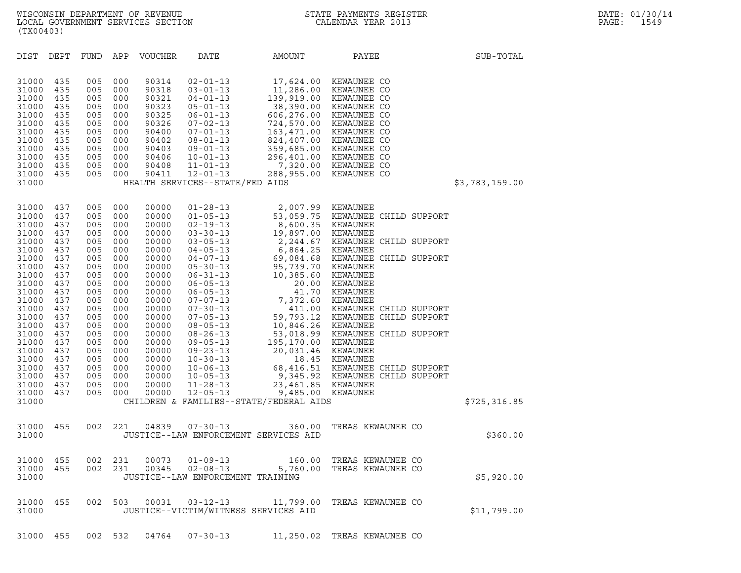| (TX00403)                                                                                                                                                                                                            |                                                                                                                                                               |                                                                                                                                                               |                                                                                                                                                               |                                                                                                                                                                                                             |                                                                                                                                                                                                                                                                                                                                                                                                                                                                       |                                                                                                                                                                                                                                               |                                                                                                                                                                                                                                                                                                                                                                                                         |                |
|----------------------------------------------------------------------------------------------------------------------------------------------------------------------------------------------------------------------|---------------------------------------------------------------------------------------------------------------------------------------------------------------|---------------------------------------------------------------------------------------------------------------------------------------------------------------|---------------------------------------------------------------------------------------------------------------------------------------------------------------|-------------------------------------------------------------------------------------------------------------------------------------------------------------------------------------------------------------|-----------------------------------------------------------------------------------------------------------------------------------------------------------------------------------------------------------------------------------------------------------------------------------------------------------------------------------------------------------------------------------------------------------------------------------------------------------------------|-----------------------------------------------------------------------------------------------------------------------------------------------------------------------------------------------------------------------------------------------|---------------------------------------------------------------------------------------------------------------------------------------------------------------------------------------------------------------------------------------------------------------------------------------------------------------------------------------------------------------------------------------------------------|----------------|
| DIST                                                                                                                                                                                                                 | DEPT                                                                                                                                                          | FUND                                                                                                                                                          | APP                                                                                                                                                           | VOUCHER                                                                                                                                                                                                     | DATE                                                                                                                                                                                                                                                                                                                                                                                                                                                                  | AMOUNT                                                                                                                                                                                                                                        | PAYEE                                                                                                                                                                                                                                                                                                                                                                                                   | SUB-TOTAL      |
| 31000<br>31000<br>31000<br>31000<br>31000<br>31000<br>31000<br>31000<br>31000<br>31000<br>31000<br>31000<br>31000                                                                                                    | 435<br>435<br>435<br>435<br>435<br>435<br>435<br>435<br>435<br>435<br>435<br>435                                                                              | 005<br>005<br>005<br>005<br>005<br>005<br>005<br>005<br>005<br>005<br>005<br>005                                                                              | 000<br>000<br>000<br>000<br>000<br>000<br>000<br>000<br>000<br>000<br>000<br>000                                                                              | 90314<br>90318<br>90321<br>90323<br>90325<br>90326<br>90400<br>90402<br>90403<br>90406<br>90408<br>90411                                                                                                    | $02 - 01 - 13$<br>$03 - 01 - 13$<br>$04 - 01 - 13$<br>$05 - 01 - 13$<br>$06 - 01 - 13$<br>$07 - 02 - 13$<br>$07 - 01 - 13$<br>$08 - 01 - 13$<br>$09 - 01 - 13$<br>$10 - 01 - 13$<br>$11 - 01 - 13$<br>$12 - 01 - 13$<br>HEALTH SERVICES--STATE/FED AIDS                                                                                                                                                                                                               | 17,624.00<br>11,286.00<br>724,570.00                                                                                                                                                                                                          | KEWAUNEE CO<br>KEWAUNEE CO<br>139,919.00 KEWAUNEE CO<br>38,390.00 KEWAUNEE CO<br>606,276.00 KEWAUNEE CO<br>KEWAUNEE CO<br>163,471.00 KEWAUNEE CO<br>824,407.00 KEWAUNEE CO<br>359,685.00 KEWAUNEE CO<br>296,401.00 KEWAUNEE CO<br>7,320.00 KEWAUNEE CO<br>288,955.00 KEWAUNEE CO                                                                                                                        | \$3,783,159.00 |
| 31000<br>31000<br>31000<br>31000<br>31000<br>31000<br>31000<br>31000<br>31000<br>31000<br>31000<br>31000<br>31000<br>31000<br>31000<br>31000<br>31000<br>31000<br>31000<br>31000<br>31000<br>31000<br>31000<br>31000 | 437<br>437<br>437<br>437<br>437<br>437<br>437<br>437<br>437<br>437<br>437<br>437<br>437<br>437<br>437<br>437<br>437<br>437<br>437<br>437<br>437<br>437<br>437 | 005<br>005<br>005<br>005<br>005<br>005<br>005<br>005<br>005<br>005<br>005<br>005<br>005<br>005<br>005<br>005<br>005<br>005<br>005<br>005<br>005<br>005<br>005 | 000<br>000<br>000<br>000<br>000<br>000<br>000<br>000<br>000<br>000<br>000<br>000<br>000<br>000<br>000<br>000<br>000<br>000<br>000<br>000<br>000<br>000<br>000 | 00000<br>00000<br>00000<br>00000<br>00000<br>00000<br>00000<br>00000<br>00000<br>00000<br>00000<br>00000<br>00000<br>00000<br>00000<br>00000<br>00000<br>00000<br>00000<br>00000<br>00000<br>00000<br>00000 | $01 - 28 - 13$<br>$01 - 05 - 13$<br>$02 - 19 - 13$<br>$03 - 30 - 13$<br>$03 - 05 - 13$<br>$04 - 05 - 13$<br>$04 - 07 - 13$<br>$05 - 30 - 13$<br>$06 - 31 - 13$<br>$06 - 05 - 13$<br>$06 - 05 - 13$<br>$07 - 07 - 13$<br>$07 - 30 - 13$<br>$07 - 05 - 13$<br>$08 - 05 - 13$<br>$08 - 26 - 13$<br>$09 - 05 - 13$<br>$09 - 23 - 13$<br>$10 - 30 - 13$<br>$10 - 06 - 13$<br>$10 - 05 - 13$<br>$11 - 28 - 13$<br>$12 - 05 - 13$<br>CHILDREN & FAMILIES--STATE/FEDERAL AIDS | 2,007.99 KEWAUNEE<br>53,059.75<br>8,600.35<br>19,897.00<br>2,244.67<br>6,864.25 KEWAUNEE<br>95,739.70<br>10,385.60<br>20.00<br>41.70<br>7,372.60<br>411.00<br>10,846.26 KEWAUNEE<br>195,170.00<br>20,031.46<br>23,461.85<br>9,485.00 KEWAUNEE | KEWAUNEE CHILD SUPPORT<br>KEWAUNEE<br>KEWAUNEE<br>KEWAUNEE CHILD SUPPORT<br>69,084.68 KEWAUNEE CHILD SUPPORT<br>KEWAUNEE<br>KEWAUNEE<br>KEWAUNEE<br>KEWAUNEE<br>KEWAUNEE<br>KEWAUNEE CHILD SUPPORT<br>59,793.12 KEWAUNEE CHILD SUPPORT<br>53,018.99 KEWAUNEE CHILD SUPPORT<br>KEWAUNEE<br>KEWAUNEE<br>18.45 KEWAUNEE<br>68,416.51 KEWAUNEE CHILD SUPPORT<br>9,345.92 KEWAUNEE CHILD SUPPORT<br>KEWAUNEE | \$725,316.85   |
| 31000<br>31000                                                                                                                                                                                                       | 455                                                                                                                                                           | 002                                                                                                                                                           | 221                                                                                                                                                           | 04839                                                                                                                                                                                                       | $07 - 30 - 13$<br>JUSTICE--LAW ENFORCEMENT SERVICES AID                                                                                                                                                                                                                                                                                                                                                                                                               | 360.00                                                                                                                                                                                                                                        | TREAS KEWAUNEE CO                                                                                                                                                                                                                                                                                                                                                                                       | \$360.00       |
| 31000<br>31000<br>31000                                                                                                                                                                                              | 455<br>455                                                                                                                                                    | 002<br>002                                                                                                                                                    | 231<br>231                                                                                                                                                    | 00073<br>00345                                                                                                                                                                                              | $01 - 09 - 13$<br>$02 - 08 - 13$<br>JUSTICE--LAW ENFORCEMENT TRAINING                                                                                                                                                                                                                                                                                                                                                                                                 | 160.00<br>5,760.00                                                                                                                                                                                                                            | TREAS KEWAUNEE CO<br>TREAS KEWAUNEE CO                                                                                                                                                                                                                                                                                                                                                                  | \$5,920.00     |
| 31000<br>31000                                                                                                                                                                                                       | 455                                                                                                                                                           | 002                                                                                                                                                           | 503                                                                                                                                                           | 00031                                                                                                                                                                                                       | $03 - 12 - 13$<br>JUSTICE--VICTIM/WITNESS SERVICES AID                                                                                                                                                                                                                                                                                                                                                                                                                | 11,799.00                                                                                                                                                                                                                                     | TREAS KEWAUNEE CO                                                                                                                                                                                                                                                                                                                                                                                       | \$11,799.00    |

31000 455 002 532 04764 07-30-13 11,250.02 TREAS KEWAUNEE CO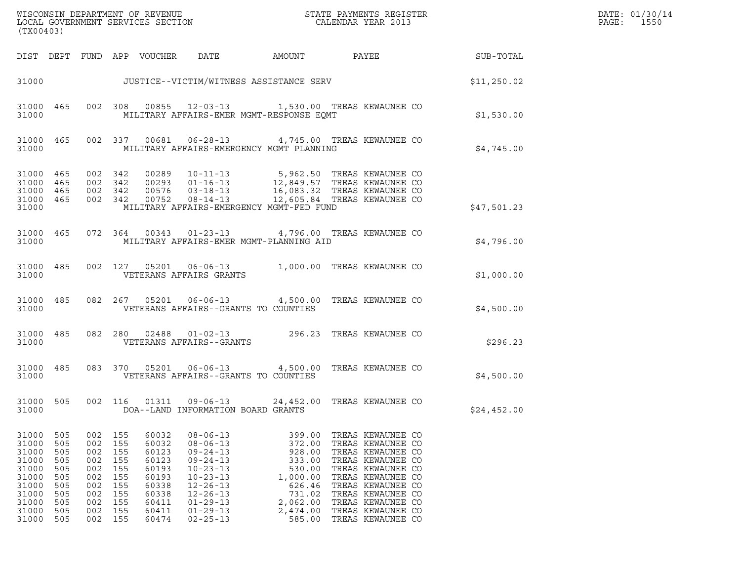| (TX00403)                                                                                           |                                                                    |                                                                               |                                                                    |                                                                                                 |                                                                                                                                                                                                    |                                                                                                                  | ${\tt WISCONSIM\ DEPARTMENT\ OF\ REVENUE}\qquad \qquad {\tt STATE\ PAYMENTS\ REGISTER} \\ {\tt LOCAL\ GOVERNMENT\ SERVICES\ SECTION}\qquad \qquad {\tt CALENDAR\ YEAR\ 2013}$                                                       |                 | DATE: 01/30/14<br>PAGE:<br>1550 |
|-----------------------------------------------------------------------------------------------------|--------------------------------------------------------------------|-------------------------------------------------------------------------------|--------------------------------------------------------------------|-------------------------------------------------------------------------------------------------|----------------------------------------------------------------------------------------------------------------------------------------------------------------------------------------------------|------------------------------------------------------------------------------------------------------------------|-------------------------------------------------------------------------------------------------------------------------------------------------------------------------------------------------------------------------------------|-----------------|---------------------------------|
|                                                                                                     |                                                                    |                                                                               |                                                                    | DIST DEPT FUND APP VOUCHER                                                                      | DATE                                                                                                                                                                                               | AMOUNT                                                                                                           |                                                                                                                                                                                                                                     | PAYEE SUB-TOTAL |                                 |
|                                                                                                     |                                                                    |                                                                               |                                                                    |                                                                                                 |                                                                                                                                                                                                    |                                                                                                                  | 31000 JUSTICE--VICTIM/WITNESS ASSISTANCE SERV                                                                                                                                                                                       | \$11,250.02     |                                 |
| 31000                                                                                               | 31000 465                                                          |                                                                               |                                                                    |                                                                                                 | MILITARY AFFAIRS-EMER MGMT-RESPONSE EQMT                                                                                                                                                           |                                                                                                                  | 002 308 00855 12-03-13 1,530.00 TREAS KEWAUNEE CO                                                                                                                                                                                   | \$1,530.00      |                                 |
| 31000                                                                                               | 31000 465                                                          |                                                                               |                                                                    |                                                                                                 | MILITARY AFFAIRS-EMERGENCY MGMT PLANNING                                                                                                                                                           |                                                                                                                  | 002 337 00681 06-28-13 4,745.00 TREAS KEWAUNEE CO                                                                                                                                                                                   | \$4,745.00      |                                 |
| 31000 465<br>31000 465<br>31000 465<br>31000 465<br>31000                                           |                                                                    | 002 342<br>002 342<br>002 342<br>002 342                                      |                                                                    |                                                                                                 | MILITARY AFFAIRS-EMERGENCY MGMT-FED FUND                                                                                                                                                           |                                                                                                                  | 00289   10-11-13   5,962.50 TREAS KEWAUNEE CO<br>00293   01-16-13   12,849.57 TREAS KEWAUNEE CO<br>00576   03-18-13   16,083.32 TREAS KEWAUNEE CO<br>00752   08-14-13   12,605.84 TREAS KEWAUNEE CO                                 | \$47,501.23     |                                 |
| 31000                                                                                               |                                                                    |                                                                               |                                                                    |                                                                                                 | MILITARY AFFAIRS-EMER MGMT-PLANNING AID                                                                                                                                                            |                                                                                                                  | 31000 465 072 364 00343 01-23-13 4,796.00 TREAS KEWAUNEE CO                                                                                                                                                                         | \$4,796.00      |                                 |
| 31000                                                                                               |                                                                    |                                                                               |                                                                    |                                                                                                 | VETERANS AFFAIRS GRANTS                                                                                                                                                                            |                                                                                                                  | 31000 485 002 127 05201 06-06-13 1,000.00 TREAS KEWAUNEE CO                                                                                                                                                                         | \$1,000.00      |                                 |
| 31000                                                                                               |                                                                    |                                                                               |                                                                    |                                                                                                 | VETERANS AFFAIRS--GRANTS TO COUNTIES                                                                                                                                                               |                                                                                                                  | 31000 485 082 267 05201 06-06-13 4,500.00 TREAS KEWAUNEE CO                                                                                                                                                                         | \$4,500.00      |                                 |
| 31000                                                                                               | 31000 485                                                          |                                                                               |                                                                    |                                                                                                 | VETERANS AFFAIRS--GRANTS                                                                                                                                                                           |                                                                                                                  | 082 280 02488 01-02-13 296.23 TREAS KEWAUNEE CO                                                                                                                                                                                     | \$296.23        |                                 |
| 31000                                                                                               | 31000 485                                                          |                                                                               |                                                                    |                                                                                                 | VETERANS AFFAIRS--GRANTS TO COUNTIES                                                                                                                                                               |                                                                                                                  | 083 370 05201 06-06-13 4,500.00 TREAS KEWAUNEE CO                                                                                                                                                                                   | \$4,500.00      |                                 |
| 31000 505<br>31000                                                                                  |                                                                    |                                                                               |                                                                    |                                                                                                 | 002 116 01311 09-06-13<br>DOA--LAND INFORMATION BOARD GRANTS                                                                                                                                       |                                                                                                                  | 24,452.00 TREAS KEWAUNEE CO                                                                                                                                                                                                         | \$24,452.00     |                                 |
| 31000<br>31000<br>31000<br>31000<br>31000<br>31000<br>31000<br>31000<br>31000<br>31000<br>31000 505 | 505<br>505<br>505<br>505<br>505<br>505<br>505<br>505<br>505<br>505 | 002<br>002<br>002<br>002<br>002<br>002<br>002<br>002<br>002<br>002<br>002 155 | 155<br>155<br>155<br>155<br>155<br>155<br>155<br>155<br>155<br>155 | 60032<br>60032<br>60123<br>60123<br>60193<br>60193<br>60338<br>60338<br>60411<br>60411<br>60474 | $08 - 06 - 13$<br>$08 - 06 - 13$<br>$09 - 24 - 13$<br>$09 - 24 - 13$<br>$10 - 23 - 13$<br>$10 - 23 - 13$<br>$12 - 26 - 13$<br>$12 - 26 - 13$<br>$01 - 29 - 13$<br>$01 - 29 - 13$<br>$02 - 25 - 13$ | 399.00<br>372.00<br>928.00<br>333.00<br>530.00<br>1,000.00<br>626.46<br>731.02<br>2,062.00<br>2,474.00<br>585.00 | TREAS KEWAUNEE CO<br>TREAS KEWAUNEE CO<br>TREAS KEWAUNEE CO<br>TREAS KEWAUNEE CO<br>TREAS KEWAUNEE CO<br>TREAS KEWAUNEE CO<br>TREAS KEWAUNEE CO<br>TREAS KEWAUNEE CO<br>TREAS KEWAUNEE CO<br>TREAS KEWAUNEE CO<br>TREAS KEWAUNEE CO |                 |                                 |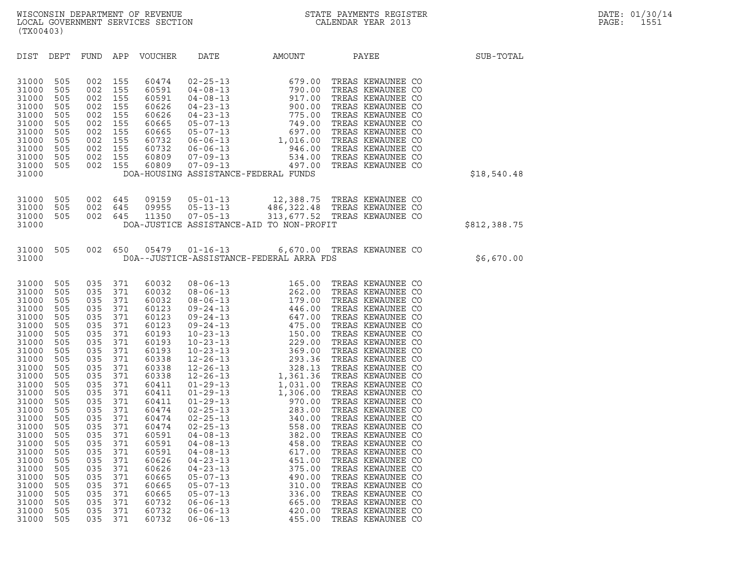| (TX00403)                                                                                                                                                                                                                                                         |                                                                                                                                                                                                         |                                                                                                                                                                                                         |                                                                                                                                                                                                         |                                                                                                                                                                                                                                                                   |                                                                                                                                                                                                                                                                                                                                                                                                                                                                                                                                        |                                                                                                                                                                                                                                                                                                                                                                    |                                                                                                                                                                                                                                                                                                                                                                                                                                                                                                                                                                                                                               |              |
|-------------------------------------------------------------------------------------------------------------------------------------------------------------------------------------------------------------------------------------------------------------------|---------------------------------------------------------------------------------------------------------------------------------------------------------------------------------------------------------|---------------------------------------------------------------------------------------------------------------------------------------------------------------------------------------------------------|---------------------------------------------------------------------------------------------------------------------------------------------------------------------------------------------------------|-------------------------------------------------------------------------------------------------------------------------------------------------------------------------------------------------------------------------------------------------------------------|----------------------------------------------------------------------------------------------------------------------------------------------------------------------------------------------------------------------------------------------------------------------------------------------------------------------------------------------------------------------------------------------------------------------------------------------------------------------------------------------------------------------------------------|--------------------------------------------------------------------------------------------------------------------------------------------------------------------------------------------------------------------------------------------------------------------------------------------------------------------------------------------------------------------|-------------------------------------------------------------------------------------------------------------------------------------------------------------------------------------------------------------------------------------------------------------------------------------------------------------------------------------------------------------------------------------------------------------------------------------------------------------------------------------------------------------------------------------------------------------------------------------------------------------------------------|--------------|
| DIST                                                                                                                                                                                                                                                              | DEPT                                                                                                                                                                                                    | FUND                                                                                                                                                                                                    | APP                                                                                                                                                                                                     | <b>VOUCHER</b>                                                                                                                                                                                                                                                    | DATE                                                                                                                                                                                                                                                                                                                                                                                                                                                                                                                                   | AMOUNT                                                                                                                                                                                                                                                                                                                                                             | PAYEE                                                                                                                                                                                                                                                                                                                                                                                                                                                                                                                                                                                                                         | SUB-TOTAL    |
| 31000<br>31000<br>31000<br>31000<br>31000<br>31000<br>31000<br>31000<br>31000<br>31000<br>31000<br>31000                                                                                                                                                          | 505<br>505<br>505<br>505<br>505<br>505<br>505<br>505<br>505<br>505<br>505                                                                                                                               | 002<br>002<br>002<br>002<br>002<br>002<br>002<br>002<br>002<br>002<br>002                                                                                                                               | 155<br>155<br>155<br>155<br>155<br>155<br>155<br>155<br>155<br>155<br>155                                                                                                                               | 60474<br>60591<br>60591<br>60626<br>60626<br>60665<br>60665<br>60732<br>60732<br>60809<br>60809                                                                                                                                                                   |                                                                                                                                                                                                                                                                                                                                                                                                                                                                                                                                        | DOA-HOUSING ASSISTANCE-FEDERAL FUNDS                                                                                                                                                                                                                                                                                                                               | TREAS KEWAUNEE CO<br>TREAS KEWAUNEE CO<br>TREAS KEWAUNEE CO<br>TREAS KEWAUNEE CO<br>TREAS KEWAUNEE CO<br>TREAS KEWAUNEE CO<br>TREAS KEWAUNEE CO<br>TREAS KEWAUNEE CO<br>TREAS KEWAUNEE CO<br>TREAS KEWAUNEE CO<br>TREAS KEWAUNEE CO                                                                                                                                                                                                                                                                                                                                                                                           | \$18,540.48  |
| 31000<br>31000<br>31000<br>31000                                                                                                                                                                                                                                  | 505<br>505<br>505                                                                                                                                                                                       | 002<br>002<br>002                                                                                                                                                                                       | 645<br>645<br>645                                                                                                                                                                                       | 09159<br>09955<br>11350                                                                                                                                                                                                                                           | $05 - 01 - 13$<br>$05 - 13 - 13$<br>$07 - 05 - 13$                                                                                                                                                                                                                                                                                                                                                                                                                                                                                     | DOA-JUSTICE ASSISTANCE-AID TO NON-PROFIT                                                                                                                                                                                                                                                                                                                           | $12,388.75 \quad \textrm{TREAS} \quad \textrm{KENAUNEE} \quad \textrm{CO} \\ 486,322.48 \quad \textrm{TREAS} \quad \textrm{KENAUNEE} \quad \textrm{CO} \\ 313,677.52 \quad \textrm{TREAS} \quad \textrm{KENAUNEE} \quad \textrm{CO} \\$                                                                                                                                                                                                                                                                                                                                                                                       | \$812,388.75 |
| 31000<br>31000                                                                                                                                                                                                                                                    | 505                                                                                                                                                                                                     | 002                                                                                                                                                                                                     | 650                                                                                                                                                                                                     | 05479                                                                                                                                                                                                                                                             | $01 - 16 - 13$                                                                                                                                                                                                                                                                                                                                                                                                                                                                                                                         | DOA--JUSTICE-ASSISTANCE-FEDERAL ARRA FDS                                                                                                                                                                                                                                                                                                                           | 6,670.00 TREAS KEWAUNEE CO                                                                                                                                                                                                                                                                                                                                                                                                                                                                                                                                                                                                    | \$6,670.00   |
| 31000<br>31000<br>31000<br>31000<br>31000<br>31000<br>31000<br>31000<br>31000<br>31000<br>31000<br>31000<br>31000<br>31000<br>31000<br>31000<br>31000<br>31000<br>31000<br>31000<br>31000<br>31000<br>31000<br>31000<br>31000<br>31000<br>31000<br>31000<br>31000 | 505<br>505<br>505<br>505<br>505<br>505<br>505<br>505<br>505<br>505<br>505<br>505<br>505<br>505<br>505<br>505<br>505<br>505<br>505<br>505<br>505<br>505<br>505<br>505<br>505<br>505<br>505<br>505<br>505 | 035<br>035<br>035<br>035<br>035<br>035<br>035<br>035<br>035<br>035<br>035<br>035<br>035<br>035<br>035<br>035<br>035<br>035<br>035<br>035<br>035<br>035<br>035<br>035<br>035<br>035<br>035<br>035<br>035 | 371<br>371<br>371<br>371<br>371<br>371<br>371<br>371<br>371<br>371<br>371<br>371<br>371<br>371<br>371<br>371<br>371<br>371<br>371<br>371<br>371<br>371<br>371<br>371<br>371<br>371<br>371<br>371<br>371 | 60032<br>60032<br>60032<br>60123<br>60123<br>60123<br>60193<br>60193<br>60193<br>60338<br>60338<br>60338<br>60411<br>60411<br>60411<br>60474<br>60474<br>60474<br>60591<br>60591<br>60591<br>60626<br>60626<br>60665<br>60665<br>60665<br>60732<br>60732<br>60732 | $08 - 06 - 13$<br>$08 - 06 - 13$<br>$08 - 06 - 13$<br>$09 - 24 - 13$<br>$09 - 24 - 13$<br>$09 - 24 - 13$<br>$10 - 23 - 13$<br>$10 - 23 - 13$<br>$10 - 23 - 13$<br>$12 - 26 - 13$<br>$12 - 26 - 13$<br>$12 - 26 - 13$<br>$01 - 29 - 13$<br>$01 - 29 - 13$<br>$01 - 29 - 13$<br>$02 - 25 - 13$<br>$02 - 25 - 13$<br>$02 - 25 - 13$<br>$04 - 08 - 13$<br>$04 - 08 - 13$<br>$04 - 08 - 13$<br>$04 - 23 - 13$<br>$04 - 23 - 13$<br>$05 - 07 - 13$<br>$05 - 07 - 13$<br>$05 - 07 - 13$<br>$06 - 06 - 13$<br>$06 - 06 - 13$<br>$06 - 06 - 13$ | $165.00$<br>$262.00$<br>$179.00$<br>$446.00$<br>$647.00$<br>$475.00$<br>$150.00$<br>$229.00$<br>$369.00$<br>$293.36$<br>$328.13$<br>$1,361.36$<br>$1,031.00$<br>$1,306.00$<br>$970.00$<br>$283.00$<br>$340.00$<br>$340.00$<br>$382.00$<br>$382.00$<br>$458.00$<br>$617.$<br>617.00<br>451.00<br>375.00<br>490.00<br>310.00<br>336.00<br>665.00<br>420.00<br>455.00 | TREAS KEWAUNEE CO<br>TREAS KEWAUNEE CO<br>TREAS KEWAUNEE CO<br>TREAS KEWAUNEE CO<br>TREAS KEWAUNEE CO<br>TREAS KEWAUNEE CO<br>TREAS KEWAUNEE CO<br>TREAS KEWAUNEE CO<br>TREAS KEWAUNEE CO<br>TREAS KEWAUNEE CO<br>TREAS KEWAUNEE CO<br>TREAS KEWAUNEE CO<br>TREAS KEWAUNEE CO<br>TREAS KEWAUNEE CO<br>TREAS KEWAUNEE CO<br>TREAS KEWAUNEE CO<br>TREAS KEWAUNEE CO<br>TREAS KEWAUNEE CO<br>TREAS KEWAUNEE CO<br>TREAS KEWAUNEE CO<br>TREAS KEWAUNEE CO<br>TREAS KEWAUNEE CO<br>TREAS KEWAUNEE CO<br>TREAS KEWAUNEE CO<br>TREAS KEWAUNEE CO<br>TREAS KEWAUNEE CO<br>TREAS KEWAUNEE CO<br>TREAS KEWAUNEE CO<br>TREAS KEWAUNEE CO |              |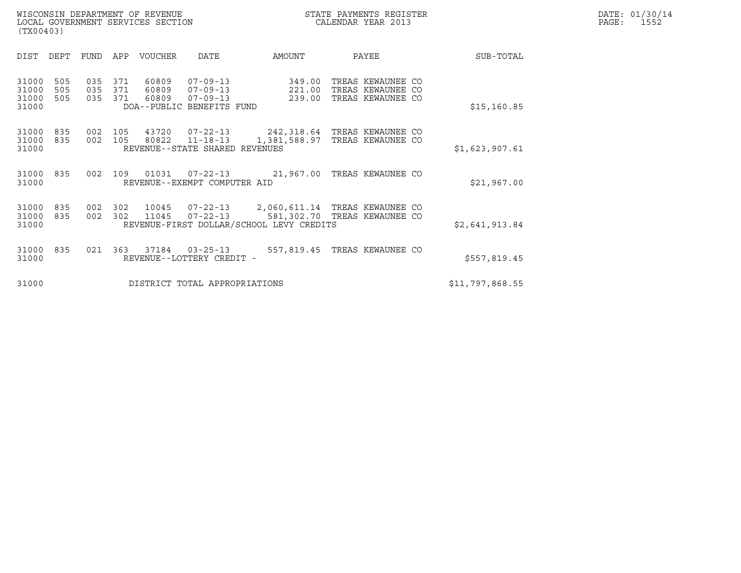| DATE: | 01/30/14 |
|-------|----------|
| PAGE: | 1552     |

WISCONSIN DEPARTMENT OF REVENUE<br>LOCAL GOVERNMENT SERVICES SECTION STATE PAYMENTS REGISTER SECULIFIES SERVICES SECTION DATE: 01/30/14 WISCONSIN DEPARTMENT OF REVENUE CONSUMIC STATE PAYMENTS REGISTER LOCAL GOVERNMENT SERVICES SECTION (TX00403)

| (TX00403)                                             |                   |                   |                         |                                                                           |                                          |                                                                          |     |                 |
|-------------------------------------------------------|-------------------|-------------------|-------------------------|---------------------------------------------------------------------------|------------------------------------------|--------------------------------------------------------------------------|-----|-----------------|
| DIST<br>DEPT                                          | FUND              | APP               | VOUCHER                 | DATE                                                                      | AMOUNT                                   | PAYEE                                                                    |     | SUB-TOTAL       |
| 31000<br>505<br>31000<br>505<br>31000<br>505<br>31000 | 035<br>035<br>035 | 371<br>371<br>371 | 60809<br>60809<br>60809 | $07 - 09 - 13$<br>07-09-13<br>$07 - 09 - 13$<br>DOA--PUBLIC BENEFITS FUND | 349.00<br>221.00<br>239.00               | TREAS KEWAUNEE CO<br>TREAS KEWAUNEE CO<br>TREAS KEWAUNEE                 | CO. | \$15, 160.85    |
| 31000<br>835<br>31000<br>835<br>31000                 | 002<br>002        | 105<br>105        | 43720<br>80822          | $11 - 18 - 13$<br>REVENUE--STATE SHARED REVENUES                          | 1,381,588.97                             | 07-22-13 242,318.64 TREAS KEWAUNEE CO<br>TREAS KEWAUNEE                  | CO. | \$1,623,907.61  |
| 31000<br>835<br>31000                                 | 002               | 109               | 01031                   | $07 - 22 - 13$<br>REVENUE--EXEMPT COMPUTER AID                            |                                          | 21,967.00 TREAS KEWAUNEE CO                                              |     | \$21,967.00     |
| 31000<br>835<br>31000<br>835<br>31000                 | 002<br>002        | 302<br>302        | 10045<br>11045          | $07 - 22 - 13$                                                            | REVENUE-FIRST DOLLAR/SCHOOL LEVY CREDITS | 07-22-13  2,060,611.14 TREAS KEWAUNEE CO<br>581,302.70 TREAS KEWAUNEE CO |     | \$2,641,913.84  |
| 31000<br>835<br>31000                                 | 021               | 363               | 37184                   | $03 - 25 - 13$<br>REVENUE--LOTTERY CREDIT -                               | 557,819.45                               | TREAS KEWAUNEE CO                                                        |     | \$557,819.45    |
| 31000                                                 |                   |                   |                         | DISTRICT TOTAL APPROPRIATIONS                                             |                                          |                                                                          |     | \$11,797,868.55 |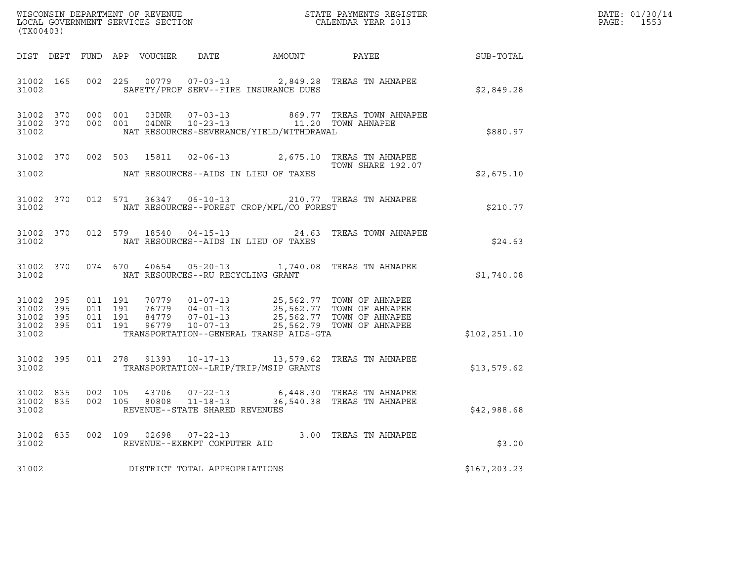| (TX00403)                       |                        |                    |         |       |                                                  |                                             |                                                                                                                                                                                        |               | DATE: 01/30/14<br>PAGE: 1553 |
|---------------------------------|------------------------|--------------------|---------|-------|--------------------------------------------------|---------------------------------------------|----------------------------------------------------------------------------------------------------------------------------------------------------------------------------------------|---------------|------------------------------|
|                                 |                        |                    |         |       |                                                  |                                             |                                                                                                                                                                                        |               |                              |
| 31002                           |                        |                    |         |       |                                                  | SAFETY/PROF SERV--FIRE INSURANCE DUES       | 31002 165 002 225 00779 07-03-13 2,849.28 TREAS TN AHNAPEE                                                                                                                             | \$2,849.28    |                              |
| 31002                           |                        |                    |         |       |                                                  | NAT RESOURCES-SEVERANCE/YIELD/WITHDRAWAL    | $\begin{tabular}{lcccccc} 31002 & 370 & 000 & 001 & 03DNR & 07-03-13 & & 869.77 TREAS TOWN AhNAPEE \\ 31002 & 370 & 000 & 001 & 04DNR & 10-23-13 & & 11.20 TOWN AHNAPEE \end{tabular}$ | \$880.97      |                              |
| 31002                           |                        |                    |         |       |                                                  | NAT RESOURCES--AIDS IN LIEU OF TAXES        | 31002 370 002 503 15811 02-06-13 2,675.10 TREAS TN AHNAPEE<br>TOWN SHARE 192.07                                                                                                        | \$2,675.10    |                              |
| 31002                           |                        |                    |         |       |                                                  | NAT RESOURCES--FOREST CROP/MFL/CO FOREST    | 31002 370 012 571 36347 06-10-13 210.77 TREAS TN AHNAPEE                                                                                                                               | \$210.77      |                              |
| 31002                           |                        |                    |         |       |                                                  | NAT RESOURCES--AIDS IN LIEU OF TAXES        | 31002 370 012 579 18540 04-15-13 24.63 TREAS TOWN AHNAPEE                                                                                                                              | \$24.63       |                              |
|                                 |                        |                    |         |       |                                                  | 31002 NAT RESOURCES--RU RECYCLING GRANT     | 31002 370 074 670 40654 05-20-13 1,740.08 TREAS TN AHNAPEE                                                                                                                             | \$1,740.08    |                              |
| 31002 395<br>31002 395<br>31002 | 31002 395<br>31002 395 |                    |         |       |                                                  | TRANSPORTATION--GENERAL TRANSP AIDS-GTA     |                                                                                                                                                                                        | \$102, 251.10 |                              |
|                                 |                        |                    |         |       |                                                  | 31002 TRANSPORTATION--LRIP/TRIP/MSIP GRANTS | 31002 395 011 278 91393 10-17-13 13,579.62 TREAS TN AHNAPEE                                                                                                                            | \$13,579.62   |                              |
| 31002 835<br>31002 835<br>31002 |                        | 002 105<br>002 105 |         |       | 80808 11-18-13<br>REVENUE--STATE SHARED REVENUES |                                             | 43706 07-22-13 6,448.30 TREAS TN AHNAPEE<br>36,540.38 TREAS TN AHNAPEE                                                                                                                 | \$42,988.68   |                              |
| 31002<br>31002                  | 835                    |                    | 002 109 | 02698 | $07 - 22 - 13$<br>REVENUE--EXEMPT COMPUTER AID   |                                             | 3.00 TREAS TN AHNAPEE                                                                                                                                                                  | \$3.00        |                              |
| 31002                           |                        |                    |         |       | DISTRICT TOTAL APPROPRIATIONS                    |                                             |                                                                                                                                                                                        | \$167,203.23  |                              |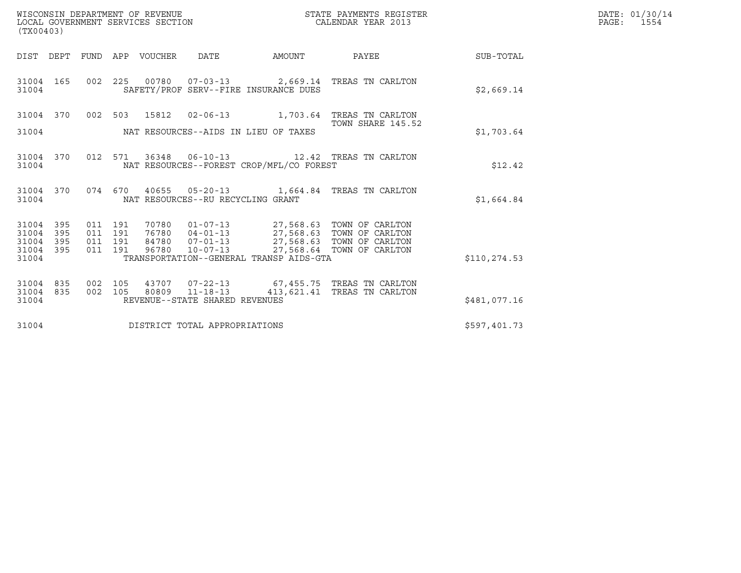| WISCONSIN DEPARTMENT OF REVENUE<br>LOCAL GOVERNMENT SERVICES SECTION<br>(TX00403) | STATE PAYMENTS REGISTER<br>CALENDAR YEAR 2013 | DATE: 01/30/14<br>PAGE:<br>1554 |
|-----------------------------------------------------------------------------------|-----------------------------------------------|---------------------------------|

| (TX00403)               |            |            |            |              |                                                                             |               |                                                                                               |              |
|-------------------------|------------|------------|------------|--------------|-----------------------------------------------------------------------------|---------------|-----------------------------------------------------------------------------------------------|--------------|
| DIST DEPT               |            | FUND APP   |            | VOUCHER DATE |                                                                             | <b>AMOUNT</b> | <b>PAYEE</b>                                                                                  | SUB-TOTAL    |
| 31004 165<br>31004      |            | 002        |            |              | SAFETY/PROF SERV--FIRE INSURANCE DUES                                       |               | 225  00780  07-03-13  2,669.14  TREAS TN CARLTON                                              | \$2,669.14   |
| 31004 370               |            |            | 002 503    | 15812        | $02 - 06 - 13$                                                              |               | 1,703.64 TREAS TN CARLTON<br>TOWN SHARE 145.52                                                |              |
| 31004                   |            |            |            |              | NAT RESOURCES--AIDS IN LIEU OF TAXES                                        |               |                                                                                               | \$1,703.64   |
| 31004 370<br>31004      |            | 012        | 571        |              | NAT RESOURCES--FOREST CROP/MFL/CO FOREST                                    |               |                                                                                               | \$12.42      |
| 31004 370<br>31004      |            |            | 074 670    |              | NAT RESOURCES--RU RECYCLING GRANT                                           |               |                                                                                               | \$1,664.84   |
| 31004<br>31004          | 395<br>395 | 011<br>011 | 191<br>191 |              | 70780 01-07-13<br>$76780$ $04-01-13$                                        |               | 27,568.63 TOWN OF CARLTON<br>27,568.63 TOWN OF CARLTON<br>27,568.63 TOWN OF CARLTON           |              |
| 31004<br>31004<br>31004 | 395<br>395 | 011<br>011 | 191<br>191 | 96780        | 84780 07-01-13<br>$10 - 07 - 13$<br>TRANSPORTATION--GENERAL TRANSP AIDS-GTA |               | 27,568.64 TOWN OF CARLTON                                                                     | \$110,274.53 |
|                         |            |            |            |              |                                                                             |               |                                                                                               |              |
| 31004<br>31004          | 835<br>835 | 002<br>002 | 105<br>105 |              |                                                                             |               | 43707  07-22-13  67,455.75  TREAS TN CARLTON<br>80809  11-18-13  413,621.41  TREAS TN CARLTON |              |
| 31004                   |            |            |            |              | REVENUE--STATE SHARED REVENUES                                              |               |                                                                                               | \$481,077.16 |
| 31004                   |            |            |            |              | DISTRICT TOTAL APPROPRIATIONS                                               |               |                                                                                               | \$597,401.73 |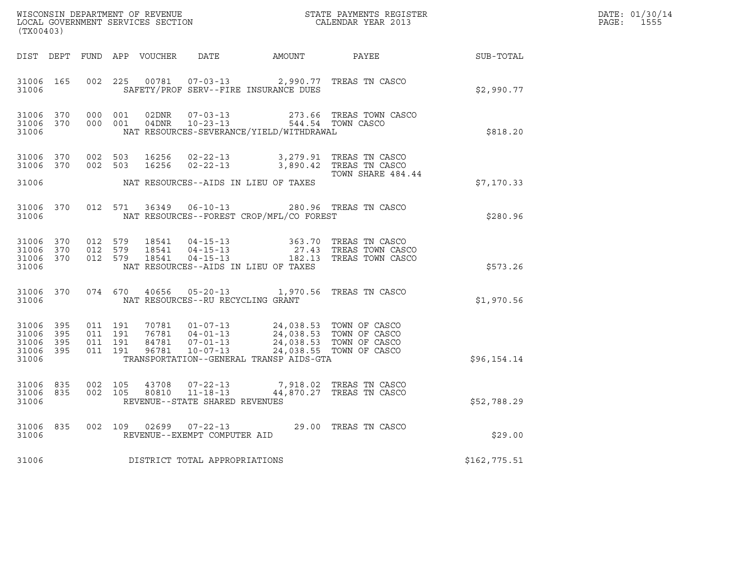| (TX00403)                                    |                                |         |         | LOCAL GOVERNMENT SERVICES SECTION |                                   |                                                                                                                                                                                                                                                                                                                                                                             | ${\tt WISCO} {\tt NSM} {\tt NEMR} {\tt NEMR} {\tt NEMR} {\tt NEMR} {\tt NEMR} {\tt NEMR} {\tt NEMR} {\tt NEMR} {\tt NEMR} {\tt NEMR} {\tt NEMR} {\tt NEMR} {\tt NEMR} {\tt NEMR} {\tt NEMR} {\tt NEMR} {\tt NEMR} {\tt NEMR} {\tt NEMR} {\tt NEMR} {\tt NEMR} {\tt NEMR} {\tt NEMR} {\tt NEMR} {\tt NEMR} {\tt NEMR} {\tt NEMR} {\tt NEMR} {\tt NEMR} {\tt NEMR} {\tt NEMR} {\tt NEMR} {\tt NEMR} {\tt NEMR} {\tt NEMR}$ |              | DATE: 01/30/14<br>PAGE: 1555 |
|----------------------------------------------|--------------------------------|---------|---------|-----------------------------------|-----------------------------------|-----------------------------------------------------------------------------------------------------------------------------------------------------------------------------------------------------------------------------------------------------------------------------------------------------------------------------------------------------------------------------|--------------------------------------------------------------------------------------------------------------------------------------------------------------------------------------------------------------------------------------------------------------------------------------------------------------------------------------------------------------------------------------------------------------------------|--------------|------------------------------|
|                                              |                                |         |         |                                   |                                   |                                                                                                                                                                                                                                                                                                                                                                             | DIST DEPT FUND APP VOUCHER DATE AMOUNT PAYEE TO SUB-TOTAL                                                                                                                                                                                                                                                                                                                                                                |              |                              |
| 31006                                        | 31006 165                      |         |         |                                   |                                   | 002 225 00781 07-03-13 2,990.77 TREAS TN CASCO<br>SAFETY/PROF SERV--FIRE INSURANCE DUES                                                                                                                                                                                                                                                                                     |                                                                                                                                                                                                                                                                                                                                                                                                                          | \$2,990.77   |                              |
| 31006 370<br>31006                           | 31006 370 000 001              | 000 001 |         |                                   |                                   | NAT RESOURCES-SEVERANCE/YIELD/WITHDRAWAL                                                                                                                                                                                                                                                                                                                                    | 02DNR  07-03-13  273.66 TREAS TOWN CASCO<br>04DNR  10-23-13  544.54 TOWN CASCO                                                                                                                                                                                                                                                                                                                                           | \$818.20     |                              |
|                                              |                                |         |         |                                   |                                   | 31006 370 002 503 16256 02-22-13 3,279.91 TREAS TN CASCO 31006 370 002 503 16256 02-22-13 3,890.42 TREAS TN CASCO                                                                                                                                                                                                                                                           |                                                                                                                                                                                                                                                                                                                                                                                                                          |              |                              |
| 31006                                        |                                |         |         |                                   |                                   | NAT RESOURCES--AIDS IN LIEU OF TAXES                                                                                                                                                                                                                                                                                                                                        | TOWN SHARE 484.44                                                                                                                                                                                                                                                                                                                                                                                                        | \$7,170.33   |                              |
| 31006                                        |                                |         |         |                                   |                                   | 31006 370 012 571 36349 06-10-13 280.96 TREAS TN CASCO<br>NAT RESOURCES--FOREST CROP/MFL/CO FOREST                                                                                                                                                                                                                                                                          |                                                                                                                                                                                                                                                                                                                                                                                                                          | \$280.96     |                              |
| 31006 370<br>31006                           | 31006 370 012 579<br>31006 370 | 012 579 | 012 579 | 18541                             |                                   | NAT RESOURCES--AIDS IN LIEU OF TAXES                                                                                                                                                                                                                                                                                                                                        | 18541  04-15-13  363.70 TREAS TN CASCO<br>18541  04-15-13  27.43 TREAS TOWN CASCO<br>18541  04-15-13  182.13 TREAS TOWN CASCO<br>363.70 TREAS TN CASCO                                                                                                                                                                                                                                                                   | \$573.26     |                              |
| 31006                                        |                                |         |         |                                   | NAT RESOURCES--RU RECYCLING GRANT | 31006 370 074 670 40656 05-20-13 1,970.56 TREAS TN CASCO                                                                                                                                                                                                                                                                                                                    |                                                                                                                                                                                                                                                                                                                                                                                                                          | \$1,970.56   |                              |
| 31006 395<br>31006 395<br>31006 395<br>31006 | 31006 395                      |         |         |                                   |                                   | $\begin{array}{cccccc} 011 & 191 & 70781 & 01-07-13 & 24\,, 038\,.53 & \text{TOWN OF CASCO} \\ 011 & 191 & 76781 & 04-01-13 & 24\,, 038\,.53 & \text{TOWN OF CASCO} \\ 011 & 191 & 84781 & 07-01-13 & 24\,, 038\,.53 & \text{TOWN OF CASCO} \\ 011 & 191 & 96781 & 10-07-13 & 24\,, 038\,.55 & \text{TOWN OF CASCO} \end{array}$<br>TRANSPORTATION--GENERAL TRANSP AIDS-GTA |                                                                                                                                                                                                                                                                                                                                                                                                                          | \$96,154.14  |                              |
| 31006 835<br>31006                           | 31006 835                      | 002 105 | 002 105 |                                   | REVENUE--STATE SHARED REVENUES    | 43708  07-22-13  7,918.02  TREAS TN CASCO<br>80810  11-18-13  44,870.27  TREAS TN CASCO                                                                                                                                                                                                                                                                                     |                                                                                                                                                                                                                                                                                                                                                                                                                          | \$52,788.29  |                              |
| 31006                                        | 31006 835                      |         |         |                                   | REVENUE--EXEMPT COMPUTER AID      | 002 109 02699 07-22-13 29.00 TREAS TN CASCO                                                                                                                                                                                                                                                                                                                                 |                                                                                                                                                                                                                                                                                                                                                                                                                          | \$29.00      |                              |
| 31006                                        |                                |         |         |                                   | DISTRICT TOTAL APPROPRIATIONS     |                                                                                                                                                                                                                                                                                                                                                                             |                                                                                                                                                                                                                                                                                                                                                                                                                          | \$162,775.51 |                              |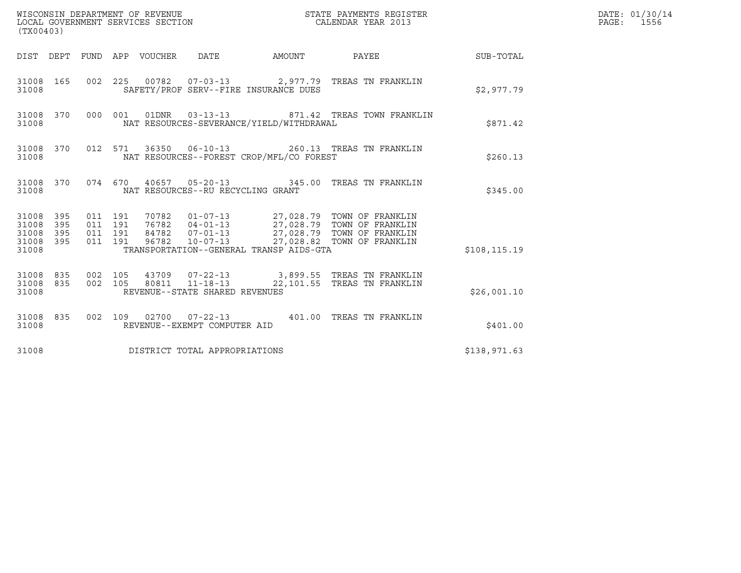| (TX00403)                                         |            |                                          |                                 |                                                  |                                          |                                                                                                                                                                                     |               | DATE: 01/30/14<br>PAGE: 1556 |
|---------------------------------------------------|------------|------------------------------------------|---------------------------------|--------------------------------------------------|------------------------------------------|-------------------------------------------------------------------------------------------------------------------------------------------------------------------------------------|---------------|------------------------------|
|                                                   |            |                                          | DIST DEPT FUND APP VOUCHER DATE |                                                  | AMOUNT                                   | PAYEE                                                                                                                                                                               | SUB-TOTAL     |                              |
| 31008                                             | 31008 165  |                                          |                                 |                                                  | SAFETY/PROF SERV--FIRE INSURANCE DUES    | 002 225 00782 07-03-13 2,977.79 TREAS TN FRANKLIN                                                                                                                                   | \$2,977.79    |                              |
| 31008                                             | 31008 370  |                                          |                                 | 000 001 01DNR 03-13-13                           | NAT RESOURCES-SEVERANCE/YIELD/WITHDRAWAL | 871.42 TREAS TOWN FRANKLIN                                                                                                                                                          | \$871.42      |                              |
| 31008                                             | 31008 370  |                                          |                                 |                                                  | NAT RESOURCES--FOREST CROP/MFL/CO FOREST | 012 571 36350 06-10-13 260.13 TREAS TN FRANKLIN                                                                                                                                     | \$260.13      |                              |
| 31008                                             | 31008 370  |                                          |                                 | NAT RESOURCES--RU RECYCLING GRANT                |                                          | 074 670 40657 05-20-13 345.00 TREAS TN FRANKLIN                                                                                                                                     | \$345.00      |                              |
| 31008 395<br>31008<br>31008<br>31008 395<br>31008 | 395<br>395 | 011 191<br>011 191<br>011 191<br>011 191 |                                 |                                                  | TRANSPORTATION--GENERAL TRANSP AIDS-GTA  | 70782  01-07-13  27,028.79  TOWN OF FRANKLIN<br>76782 04-01-13 27,028.79 TOWN OF FRANKLIN<br>84782 07-01-13 27,028.79 TOWN OF FRANKLIN<br>96782 10-07-13 27,028.82 TOWN OF FRANKLIN | \$108, 115.19 |                              |
| 31008 835<br>31008 835<br>31008                   |            | 002 105<br>002 105                       |                                 | 80811 11-18-13<br>REVENUE--STATE SHARED REVENUES |                                          | 43709  07-22-13  3,899.55  TREAS TN FRANKLIN<br>22,101.55 TREAS TN FRANKLIN                                                                                                         | \$26,001.10   |                              |
| 31008                                             | 31008 835  |                                          |                                 | REVENUE--EXEMPT COMPUTER AID                     |                                          | 002 109 02700 07-22-13 401.00 TREAS TN FRANKLIN                                                                                                                                     | \$401.00      |                              |
| 31008                                             |            |                                          |                                 | DISTRICT TOTAL APPROPRIATIONS                    |                                          |                                                                                                                                                                                     | \$138,971.63  |                              |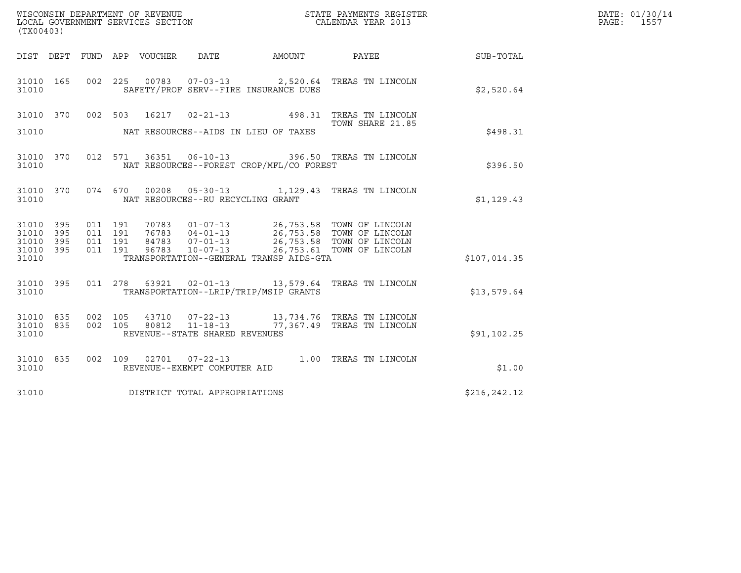| WISCONSIN DEPARTMENT OF REVENUE   | STATE PAYMENTS REGISTER | DATE: 01/30/14 |
|-----------------------------------|-------------------------|----------------|
| LOCAL GOVERNMENT SERVICES SECTION | CALENDAR YEAR 2013      | 1557<br>PAGE:  |

| (TX00403)                       |     |  |                                |                                          | WISCONSIN DEPARTMENT OF REVENUE<br>LOCAL GOVERNMENT SERVICES SECTION TERMS OF CALENDAR YEAR 2013 |                                                                                                                         |                                                        | DATE: 01/30/14<br>PAGE: 1557 |
|---------------------------------|-----|--|--------------------------------|------------------------------------------|--------------------------------------------------------------------------------------------------|-------------------------------------------------------------------------------------------------------------------------|--------------------------------------------------------|------------------------------|
|                                 |     |  |                                |                                          |                                                                                                  |                                                                                                                         | DIST DEPT FUND APP VOUCHER DATE AMOUNT PAYEE SUB-TOTAL |                              |
| 31010 165<br>31010              |     |  |                                | SAFETY/PROF SERV--FIRE INSURANCE DUES    |                                                                                                  | 002 225 00783 07-03-13 2,520.64 TREAS TN LINCOLN                                                                        | \$2,520.64                                             |                              |
|                                 |     |  |                                |                                          |                                                                                                  | 31010 370 002 503 16217 02-21-13 498.31 TREAS TN LINCOLN<br>TOWN SHARE 21.85                                            |                                                        |                              |
|                                 |     |  |                                |                                          |                                                                                                  |                                                                                                                         | \$498.31                                               |                              |
| 31010 370<br>31010              |     |  |                                | NAT RESOURCES--FOREST CROP/MFL/CO FOREST |                                                                                                  | 012 571 36351 06-10-13 396.50 TREAS TN LINCOLN                                                                          | \$396.50                                               |                              |
| 31010                           |     |  |                                | NAT RESOURCES--RU RECYCLING GRANT        |                                                                                                  | 31010 370 074 670 00208 05-30-13 1,129.43 TREAS TN LINCOLN                                                              | \$1,129.43                                             |                              |
| 31010 395<br>31010              | 395 |  |                                |                                          |                                                                                                  |                                                                                                                         |                                                        |                              |
| 31010 395<br>31010 395<br>31010 |     |  |                                | TRANSPORTATION--GENERAL TRANSP AIDS-GTA  |                                                                                                  |                                                                                                                         | \$107,014.35                                           |                              |
| 31010 395<br>31010              |     |  |                                | TRANSPORTATION--LRIP/TRIP/MSIP GRANTS    |                                                                                                  | 011  278  63921  02-01-13  13,579.64 TREAS TN LINCOLN                                                                   | \$13,579.64                                            |                              |
| 31010                           |     |  | REVENUE--STATE SHARED REVENUES |                                          |                                                                                                  | 31010 835 002 105 43710 07-22-13 13,734.76 TREAS TN LINCOLN 31010 835 002 105 80812 11-18-13 77,367.49 TREAS TN LINCOLN | \$91,102.25                                            |                              |
| 31010 835<br>31010              |     |  | REVENUE--EXEMPT COMPUTER AID   |                                          |                                                                                                  | 002 109 02701 07-22-13 1.00 TREAS TN LINCOLN                                                                            | \$1.00                                                 |                              |
| 31010                           |     |  | DISTRICT TOTAL APPROPRIATIONS  |                                          |                                                                                                  |                                                                                                                         | \$216,242.12                                           |                              |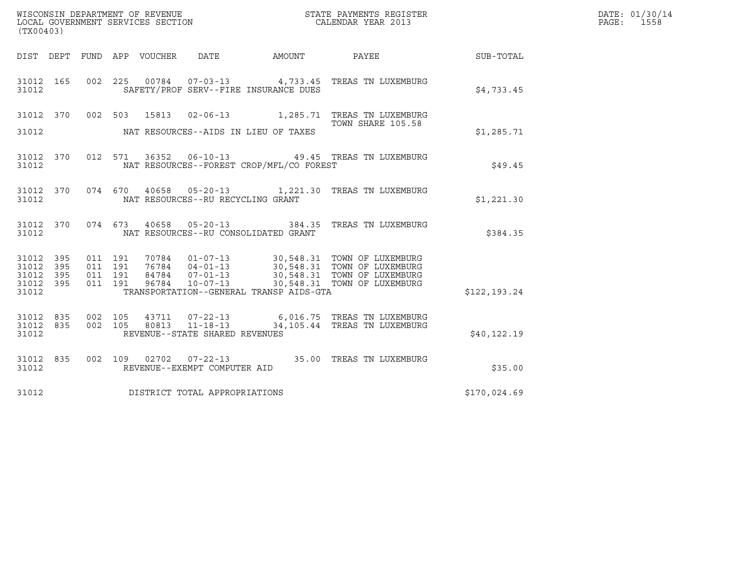| (TX00403)                       |            |         |         | LOCAL GOVERNMENT SERVICES SECTION | WISCONSIN DEPARTMENT OF REVENUE   |                                          | STATE PAYMENTS REGISTER<br>CALENDAR YEAR 2013                                                                                                                  |              | DATE: 01/30/14<br>PAGE: 1558 |
|---------------------------------|------------|---------|---------|-----------------------------------|-----------------------------------|------------------------------------------|----------------------------------------------------------------------------------------------------------------------------------------------------------------|--------------|------------------------------|
|                                 |            |         |         | DIST DEPT FUND APP VOUCHER        | DATE                              | AMOUNT PAYEE                             |                                                                                                                                                                | SUB-TOTAL    |                              |
| 31012 165<br>31012              |            |         |         |                                   |                                   | SAFETY/PROF SERV--FIRE INSURANCE DUES    | 002  225  00784  07-03-13  4,733.45  TREAS TN LUXEMBURG                                                                                                        | \$4,733.45   |                              |
|                                 |            |         |         |                                   |                                   |                                          | 31012 370 002 503 15813 02-06-13 1,285.71 TREAS TN LUXEMBURG<br>TOWN SHARE 105.58                                                                              |              |                              |
| 31012                           |            |         |         |                                   |                                   | NAT RESOURCES--AIDS IN LIEU OF TAXES     |                                                                                                                                                                | \$1,285.71   |                              |
| 31012                           |            |         |         |                                   |                                   | NAT RESOURCES--FOREST CROP/MFL/CO FOREST | 31012 370 012 571 36352 06-10-13 49.45 TREAS TN LUXEMBURG                                                                                                      | \$49.45      |                              |
| 31012                           |            |         |         |                                   | NAT RESOURCES--RU RECYCLING GRANT |                                          | 31012 370 074 670 40658 05-20-13 1,221.30 TREAS TN LUXEMBURG                                                                                                   | \$1,221.30   |                              |
| 31012                           |            |         |         |                                   |                                   | NAT RESOURCES--RU CONSOLIDATED GRANT     | 31012 370 074 673 40658 05-20-13 384.35 TREAS TN LUXEMBURG                                                                                                     | \$384.35     |                              |
| 31012 395<br>31012              | 395        | 011 191 | 011 191 |                                   |                                   |                                          | 70784  01-07-13  30,548.31  TOWN OF LUXEMBURG                                                                                                                  |              |                              |
| 31012<br>31012<br>31012         | 395<br>395 |         |         |                                   |                                   | TRANSPORTATION--GENERAL TRANSP AIDS-GTA  | 011 191 76784 04-01-13 30,548.31 TOWN OF LUXEMBURG<br>011 191 84784 07-01-13 30,548.31 TOWN OF LUXEMBURG<br>011 191 96784 10-07-13 30,548.31 TOWN OF LUXEMBURG | \$122,193.24 |                              |
| 31012 835<br>31012 835<br>31012 |            |         |         |                                   | REVENUE--STATE SHARED REVENUES    |                                          | 002 105 43711 07-22-13 6,016.75 TREAS TN LUXEMBURG<br>002 105 80813 11-18-13 34,105.44 TREAS TN LUXEMBURG                                                      | \$40, 122.19 |                              |
| 31012                           | 31012 835  |         |         |                                   | REVENUE--EXEMPT COMPUTER AID      |                                          | 002 109 02702 07-22-13 35.00 TREAS TN LUXEMBURG                                                                                                                | \$35.00      |                              |
| 31012                           |            |         |         |                                   | DISTRICT TOTAL APPROPRIATIONS     |                                          |                                                                                                                                                                | \$170,024.69 |                              |
|                                 |            |         |         |                                   |                                   |                                          |                                                                                                                                                                |              |                              |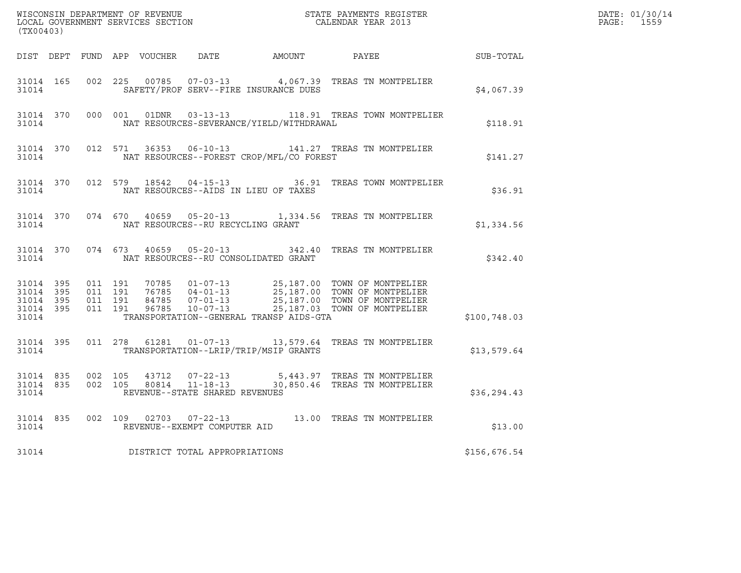| (TX00403) |  |  |  |  |                                         |                                                |                                                                                                                                                                                                                                         |              | DATE: 01/30/14<br>PAGE: 1559 |
|-----------|--|--|--|--|-----------------------------------------|------------------------------------------------|-----------------------------------------------------------------------------------------------------------------------------------------------------------------------------------------------------------------------------------------|--------------|------------------------------|
|           |  |  |  |  |                                         |                                                | DIST DEPT FUND APP VOUCHER DATE AMOUNT PAYEE TO SUB-TOTAL                                                                                                                                                                               |              |                              |
| 31014     |  |  |  |  |                                         | SAFETY/PROF SERV--FIRE INSURANCE DUES          | 31014 165 002 225 00785 07-03-13 4,067.39 TREAS TN MONTPELIER                                                                                                                                                                           | \$4,067.39   |                              |
|           |  |  |  |  |                                         | 31014 NAT RESOURCES-SEVERANCE/YIELD/WITHDRAWAL | 31014 370 000 001 01DNR 03-13-13 118.91 TREAS TOWN MONTPELIER                                                                                                                                                                           | \$118.91     |                              |
| 31014     |  |  |  |  |                                         | NAT RESOURCES--FOREST CROP/MFL/CO FOREST       | 31014 370 012 571 36353 06-10-13 141.27 TREAS TN MONTPELIER                                                                                                                                                                             | \$141.27     |                              |
|           |  |  |  |  |                                         | 31014 NAT RESOURCES--AIDS IN LIEU OF TAXES     | 31014 370 012 579 18542 04-15-13 36.91 TREAS TOWN MONTPELIER                                                                                                                                                                            | \$36.91      |                              |
|           |  |  |  |  | 31014 NAT RESOURCES--RU RECYCLING GRANT |                                                | 31014 370 074 670 40659 05-20-13 1,334.56 TREAS TN MONTPELIER                                                                                                                                                                           | \$1,334.56   |                              |
|           |  |  |  |  |                                         |                                                | 31014 370 074 673 40659 05-20-13 342.40 TREAS TN MONTPELIER                                                                                                                                                                             | \$342.40     |                              |
| 31014     |  |  |  |  |                                         | TRANSPORTATION--GENERAL TRANSP AIDS-GTA        | 31014 395 011 191 70785 01-07-13 25,187.00 TOWN OF MONTPELIER<br>31014 395 011 191 76785 04-01-13 25,187.00 TOWN OF MONTPELIER<br>31014 395 011 191 84785 07-01-13 25,187.00 TOWN OF MONTPELIER<br>31014 395 011 191 96785 10-07-13 25, | \$100,748.03 |                              |
|           |  |  |  |  |                                         | 31014 TRANSPORTATION--LRIP/TRIP/MSIP GRANTS    | 31014 395 011 278 61281 01-07-13 13,579.64 TREAS TN MONTPELIER                                                                                                                                                                          | \$13,579.64  |                              |
| 31014     |  |  |  |  | REVENUE--STATE SHARED REVENUES          |                                                | $\begin{array}{cccccccc} 31014 & 835 & 002 & 105 & 43712 & 07-22-13 & & 5,443.97 & \text{TREAS TN MONTPELIER} \\ 31014 & 835 & 002 & 105 & 80814 & 11-18-13 & & 30,850.46 & \text{TREAS TN MONTPELIER} \end{array}$                     | \$36,294.43  |                              |
|           |  |  |  |  | 31014 REVENUE--EXEMPT COMPUTER AID      |                                                | 31014 835 002 109 02703 07-22-13 13.00 TREAS TN MONTPELIER                                                                                                                                                                              | \$13.00      |                              |
| 31014     |  |  |  |  | DISTRICT TOTAL APPROPRIATIONS           |                                                |                                                                                                                                                                                                                                         | \$156,676.54 |                              |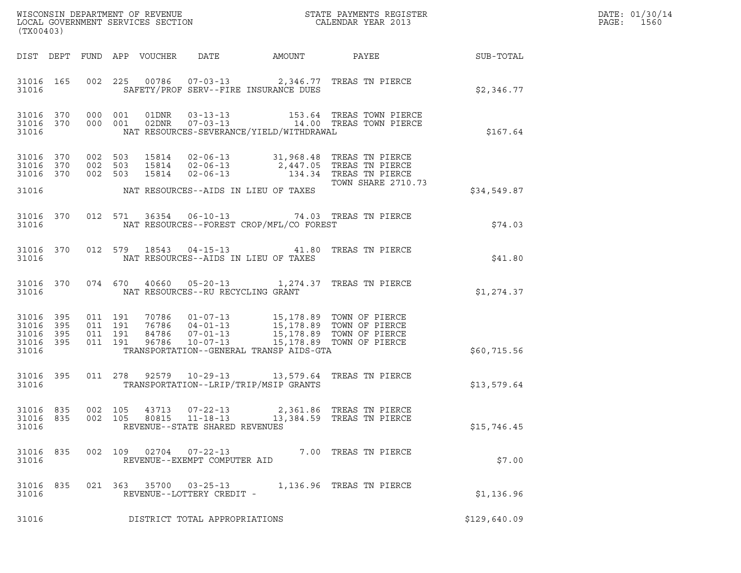| (TX00403)                                     |                   |         |                               | LOCAL GOVERNMENT SERVICES SECTION |                                                                    |                                          |                                                                                                                                                                                      |              | DATE: 01/30/14<br>$\mathtt{PAGE:}$<br>1560 |
|-----------------------------------------------|-------------------|---------|-------------------------------|-----------------------------------|--------------------------------------------------------------------|------------------------------------------|--------------------------------------------------------------------------------------------------------------------------------------------------------------------------------------|--------------|--------------------------------------------|
|                                               |                   |         |                               | DIST DEPT FUND APP VOUCHER DATE   |                                                                    | AMOUNT PAYEE                             |                                                                                                                                                                                      | SUB-TOTAL    |                                            |
| 31016 165<br>31016                            |                   |         |                               |                                   |                                                                    | SAFETY/PROF SERV--FIRE INSURANCE DUES    | 002 225 00786 07-03-13 2,346.77 TREAS TN PIERCE                                                                                                                                      | \$2,346.77   |                                            |
| 31016 370 000 001<br>31016 370<br>31016       |                   |         | 000 001                       |                                   |                                                                    | NAT RESOURCES-SEVERANCE/YIELD/WITHDRAWAL | 01DNR  03-13-13  153.64 TREAS TOWN PIERCE<br>02DNR  07-03-13  14.00 TREAS TOWN PIERCE                                                                                                | \$167.64     |                                            |
| 31016<br>31016 370<br>31016 370               | 370               | 002 503 | 002 503<br>002 503            |                                   | 15814 02-06-13<br>15814 02-06-13                                   |                                          | 15814  02-06-13  31,968.48  TREAS TN PIERCE<br>15814  02-06-13  2,447.05  TREAS TN PIERCE<br>134.34 TREAS TN PIERCE<br>TOWN SHARE 2710.73                                            |              |                                            |
| 31016                                         |                   |         |                               |                                   |                                                                    | NAT RESOURCES--AIDS IN LIEU OF TAXES     |                                                                                                                                                                                      | \$34,549.87  |                                            |
| 31016 370<br>31016                            |                   |         |                               |                                   |                                                                    | NAT RESOURCES--FOREST CROP/MFL/CO FOREST | 012 571 36354 06-10-13 74.03 TREAS TN PIERCE                                                                                                                                         | \$74.03      |                                            |
| 31016 370<br>31016                            |                   |         |                               |                                   |                                                                    | NAT RESOURCES--AIDS IN LIEU OF TAXES     | 012 579 18543 04-15-13 41.80 TREAS TN PIERCE                                                                                                                                         | \$41.80      |                                            |
| 31016 370<br>31016                            |                   |         |                               |                                   |                                                                    | NAT RESOURCES--RU RECYCLING GRANT        | 074 670 40660 05-20-13 1,274.37 TREAS TN PIERCE                                                                                                                                      | \$1,274.37   |                                            |
| 31016 395<br>31016<br>31016<br>31016<br>31016 | 395<br>395<br>395 | 011 191 | 011 191<br>011 191<br>011 191 |                                   |                                                                    | TRANSPORTATION--GENERAL TRANSP AIDS-GTA  | 70786  01-07-13  15,178.89  TOWN OF PIERCE<br>76786  04-01-13  15,178.89  TOWN OF PIERCE<br>84786  07-01-13  15,178.89  TOWN OF PIERCE<br>96786  10-07-13  15,178.89  TOWN OF PIERCE | \$60,715.56  |                                            |
|                                               |                   |         |                               |                                   |                                                                    |                                          |                                                                                                                                                                                      |              |                                            |
| 31016 395<br>31016                            |                   |         |                               |                                   |                                                                    | TRANSPORTATION--LRIP/TRIP/MSIP GRANTS    | 011 278 92579 10-29-13 13,579.64 TREAS TN PIERCE                                                                                                                                     | \$13,579.64  |                                            |
| 31016 835<br>31016<br>31016                   | 835               |         | 002 105<br>002 105            | 43713<br>80815                    | $07 - 22 - 13$<br>$11 - 18 - 13$<br>REVENUE--STATE SHARED REVENUES |                                          | 2,361.86 TREAS TN PIERCE<br>13,384.59 TREAS TN PIERCE                                                                                                                                | \$15,746.45  |                                            |
| 31016 835<br>31016                            |                   |         |                               |                                   | 002 109 02704 07-22-13<br>REVENUE--EXEMPT COMPUTER AID             |                                          | 7.00 TREAS TN PIERCE                                                                                                                                                                 | \$7.00       |                                            |
| 31016 835<br>31016                            |                   |         |                               |                                   | 021 363 35700 03-25-13<br>REVENUE--LOTTERY CREDIT -                |                                          | 1,136.96 TREAS TN PIERCE                                                                                                                                                             | \$1,136.96   |                                            |
| 31016                                         |                   |         |                               |                                   | DISTRICT TOTAL APPROPRIATIONS                                      |                                          |                                                                                                                                                                                      | \$129,640.09 |                                            |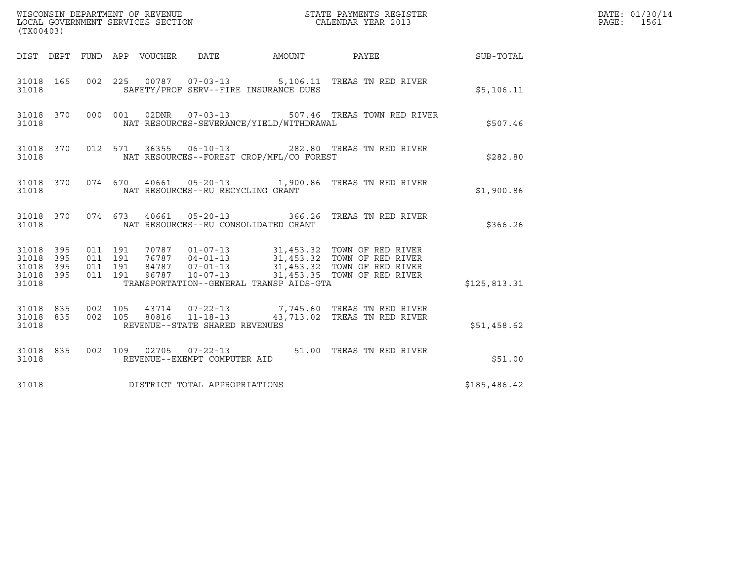| WISCONSIN DEPARTMENT OF REVENUE<br>LOCAL GOVERNMENT SERVICES SECTION<br>STATE PAYMENTS REGISTER<br>CALENDAR YEAR 2013<br>(TX00403) |                   |                    |                    |                                 |                                                                    |  |                                                                                                                                                                                                  |              | DATE: 01/30/14<br>PAGE: 1561 |
|------------------------------------------------------------------------------------------------------------------------------------|-------------------|--------------------|--------------------|---------------------------------|--------------------------------------------------------------------|--|--------------------------------------------------------------------------------------------------------------------------------------------------------------------------------------------------|--------------|------------------------------|
|                                                                                                                                    |                   |                    |                    | DIST DEPT FUND APP VOUCHER DATE |                                                                    |  | AMOUNT PAYEE SUB-TOTAL                                                                                                                                                                           |              |                              |
| 31018 165<br>31018                                                                                                                 |                   | 002 225            |                    |                                 | SAFETY/PROF SERV--FIRE INSURANCE DUES                              |  | 00787  07-03-13  5,106.11  TREAS TN RED RIVER                                                                                                                                                    | \$5,106.11   |                              |
| 31018                                                                                                                              | 31018 370         |                    |                    |                                 | 000 001 02DNR 07-03-13<br>NAT RESOURCES-SEVERANCE/YIELD/WITHDRAWAL |  | 507.46 TREAS TOWN RED RIVER                                                                                                                                                                      | \$507.46     |                              |
| 31018 370<br>31018                                                                                                                 |                   |                    |                    |                                 | NAT RESOURCES--FOREST CROP/MFL/CO FOREST                           |  | 012 571 36355 06-10-13 282.80 TREAS TN RED RIVER                                                                                                                                                 | \$282.80     |                              |
| 31018                                                                                                                              |                   |                    |                    |                                 | NAT RESOURCES--RU RECYCLING GRANT                                  |  | 31018 370 074 670 40661 05-20-13 1,900.86 TREAS TN RED RIVER                                                                                                                                     | \$1,900.86   |                              |
| 31018                                                                                                                              |                   |                    |                    |                                 | NAT RESOURCES--RU CONSOLIDATED GRANT                               |  | 31018 370 074 673 40661 05-20-13 366.26 TREAS TN RED RIVER                                                                                                                                       | \$366.26     |                              |
| 31018 395<br>31018<br>31018<br>31018<br>31018                                                                                      | 395<br>395<br>395 | 011 191<br>011 191 | 011 191<br>011 191 |                                 | TRANSPORTATION--GENERAL TRANSP AIDS-GTA                            |  | 70787  01-07-13  31,453.32  TOWN OF RED RIVER<br>76787  04-01-13  31,453.32  TOWN OF RED RIVER<br>84787  07-01-13  31,453.32  TOWN OF RED RIVER<br>96787  10-07-13  31,453.35  TOWN OF RED RIVER | \$125,813.31 |                              |
| 31018 835<br>31018                                                                                                                 | 31018 835         | 002 105<br>002 105 |                    |                                 | REVENUE--STATE SHARED REVENUES                                     |  | 43714  07-22-13  7,745.60 TREAS TN RED RIVER<br>80816  11-18-13  43,713.02 TREAS TN RED RIVER                                                                                                    | \$51,458.62  |                              |
| 31018                                                                                                                              | 31018 835         |                    |                    | REVENUE--EXEMPT COMPUTER AID    |                                                                    |  | 002 109 02705 07-22-13 51.00 TREAS TN RED RIVER                                                                                                                                                  | \$51.00      |                              |
| 31018                                                                                                                              |                   |                    |                    |                                 | DISTRICT TOTAL APPROPRIATIONS                                      |  |                                                                                                                                                                                                  | \$185,486.42 |                              |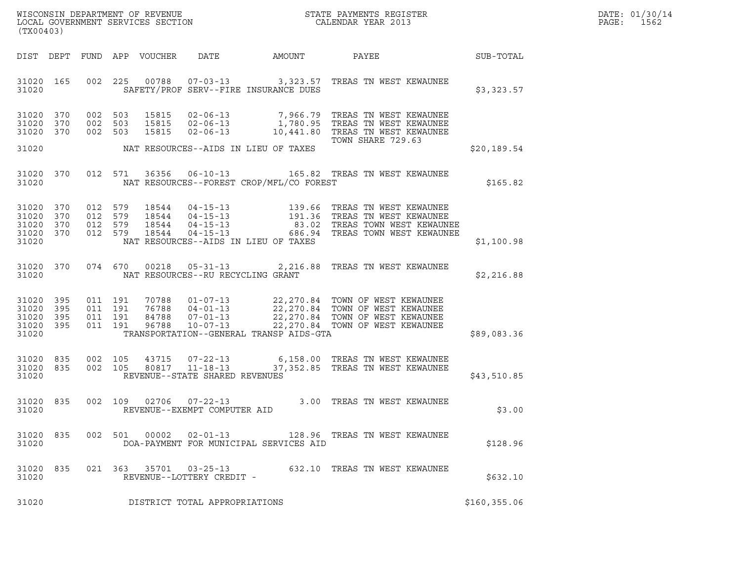| (TX00403)                                     |                   |                               |                    |                            |                                                          |        |                                                                                                                                                                                                            |               | DATE: 01/30/14<br>PAGE:<br>1562 |
|-----------------------------------------------|-------------------|-------------------------------|--------------------|----------------------------|----------------------------------------------------------|--------|------------------------------------------------------------------------------------------------------------------------------------------------------------------------------------------------------------|---------------|---------------------------------|
|                                               |                   |                               |                    | DIST DEPT FUND APP VOUCHER | DATE                                                     | AMOUNT | PAYEE<br><b>SUB-TOTAL</b>                                                                                                                                                                                  |               |                                 |
| 31020 165<br>31020                            |                   |                               |                    |                            | SAFETY/PROF SERV--FIRE INSURANCE DUES                    |        | 002 225 00788 07-03-13 3,323.57 TREAS TN WEST KEWAUNEE                                                                                                                                                     | \$3,323.57    |                                 |
| 31020 370<br>31020<br>31020 370               | 370               | 002 503<br>002 503            | 002 503            | 15815<br>15815<br>15815    |                                                          |        | 02-06-13 7,966.79 TREAS TN WEST KEWAUNEE<br>02-06-13 1,780.95 TREAS TN WEST KEWAUNEE<br>02-06-13 10,441.80 TREAS TN WEST KEWAUNEE                                                                          |               |                                 |
| 31020                                         |                   |                               |                    |                            | NAT RESOURCES--AIDS IN LIEU OF TAXES                     |        | TOWN SHARE 729.63                                                                                                                                                                                          | \$20,189.54   |                                 |
| 31020 370<br>31020                            |                   |                               | 012 571            | 36356                      | NAT RESOURCES--FOREST CROP/MFL/CO FOREST                 |        | 06-10-13 165.82 TREAS TN WEST KEWAUNEE                                                                                                                                                                     | \$165.82      |                                 |
| 31020 370<br>31020<br>31020<br>31020<br>31020 | 370<br>370<br>370 | 012 579<br>012 579            | 012 579<br>012 579 |                            | NAT RESOURCES--AIDS IN LIEU OF TAXES                     |        |                                                                                                                                                                                                            | \$1,100.98    |                                 |
| 31020                                         | 31020 370         |                               |                    | 074 670 00218              | NAT RESOURCES--RU RECYCLING GRANT                        |        |                                                                                                                                                                                                            | \$2,216.88    |                                 |
| 31020 395<br>31020<br>31020<br>31020<br>31020 | 395<br>395<br>395 | 011 191<br>011 191<br>011 191 | 011 191            |                            | TRANSPORTATION--GENERAL TRANSP AIDS-GTA                  |        | 70788  01-07-13  22,270.84  TOWN OF WEST KEWAUNEE<br>76788 04-01-13<br>22,270.84 TOWN OF WEST KEWAUNEE<br>96788 10-07-13 22,270.84 TOWN OF WEST KEWAUNEE<br>96788 10-07-13 22,270.84 TOWN OF WEST KEWAUNEE | \$89,083.36   |                                 |
| 31020<br>31020 835<br>31020                   | 835               | 002 105<br>002 105            |                    | 43715                      | 80817 11-18-13<br>REVENUE--STATE SHARED REVENUES         |        | 07-22-13 6,158.00 TREAS TN WEST KEWAUNEE<br>37,352.85 TREAS TN WEST KEWAUNEE                                                                                                                               | \$43,510.85   |                                 |
| 31020 835<br>31020                            |                   |                               | 002 109            | 02706                      | $07 - 22 - 13$<br>REVENUE--EXEMPT COMPUTER AID           |        | 3.00 TREAS TN WEST KEWAUNEE                                                                                                                                                                                | \$3.00        |                                 |
| 31020 835<br>31020                            |                   |                               | 002 501            | 00002                      | $02 - 01 - 13$<br>DOA-PAYMENT FOR MUNICIPAL SERVICES AID |        | 128.96   TREAS TN WEST KEWAUNEE                                                                                                                                                                            | \$128.96      |                                 |
| 31020 835<br>31020                            |                   |                               |                    |                            | 021 363 35701 03-25-13<br>REVENUE--LOTTERY CREDIT -      |        | 632.10 TREAS TN WEST KEWAUNEE                                                                                                                                                                              | \$632.10      |                                 |
| 31020                                         |                   |                               |                    |                            | DISTRICT TOTAL APPROPRIATIONS                            |        |                                                                                                                                                                                                            | \$160, 355.06 |                                 |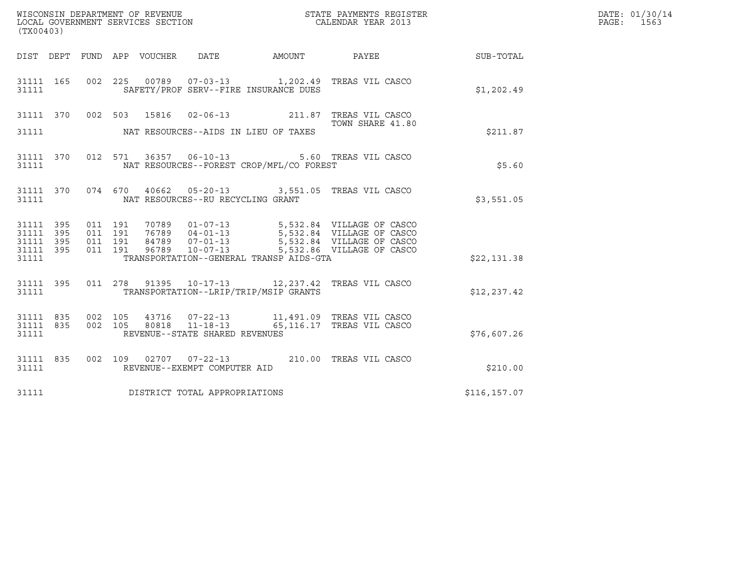| WISCONSIN DEPARTMENT OF REVENUE   | STATE PAYMENTS REGISTER | DATE: 01/30/14 |
|-----------------------------------|-------------------------|----------------|
| LOCAL GOVERNMENT SERVICES SECTION | CALENDAR YEAR 2013      | 1563<br>PAGE : |

| WISCONSIN DEPARTMENT OF REVENUE<br>LOCAL GOVERNMENT SERVICES SECTION<br>CALENDAR YEAR 2013<br>(TX00403)                                                                                                                                 |  |                  | DATE: 01/30/14<br>PAGE: 1563 |  |
|-----------------------------------------------------------------------------------------------------------------------------------------------------------------------------------------------------------------------------------------|--|------------------|------------------------------|--|
| DIST DEPT FUND APP VOUCHER DATE AMOUNT PAYEE PAYER SUB-TOTAL                                                                                                                                                                            |  |                  |                              |  |
| 31111 165 002 225 00789 07-03-13 1,202.49 TREAS VIL CASCO<br>31111 SAFETY/PROF SERV--FIRE INSURANCE DUES                                                                                                                                |  |                  | \$1,202.49                   |  |
| 31111 370 002 503 15816 02-06-13 211.87 TREAS VIL CASCO                                                                                                                                                                                 |  | TOWN SHARE 41.80 |                              |  |
| 31111 NAT RESOURCES--AIDS IN LIEU OF TAXES                                                                                                                                                                                              |  |                  | \$211.87                     |  |
| 31111 370 012 571 36357 06-10-13 5.60 TREAS VIL CASCO<br>31111 NAT RESOURCES--FOREST CROP/MFL/CO FOREST                                                                                                                                 |  |                  | \$5.60                       |  |
| 31111 370 074 670 40662 05-20-13 3,551.05 TREAS VIL CASCO<br>31111 NAT RESOURCES--RU RECYCLING GRANT                                                                                                                                    |  |                  | \$3,551.05                   |  |
| 31111 395 011 191 70789 01-07-13 5,532.84 VILLAGE OF CASCO<br>31111 395 011 191 76789 04-01-13 5,532.84 VILLAGE OF CASCO<br>31111 395 011 191 84789 07-01-13 5,532.84 VILLAGE OF CASCO<br>31111 395 011 191 96789 10-07-13 5,532.86 VIL |  |                  |                              |  |
| 31111 TRANSPORTATION--GENERAL TRANSP AIDS-GTA                                                                                                                                                                                           |  |                  | \$22,131.38                  |  |
| 31111 395 011 278 91395 10-17-13 12,237.42 TREAS VIL CASCO<br>31111 TRANSPORTATION - - LRIP/TRIP/MSIP GRANTS                                                                                                                            |  |                  | \$12, 237.42                 |  |
| 31111 REVENUE--STATE SHARED REVENUES                                                                                                                                                                                                    |  |                  | \$76,607.26                  |  |
| 31111 835 002 109 02707 07-22-13 210.00 TREAS VIL CASCO<br>31111 REVENUE--EXEMPT COMPUTER AID                                                                                                                                           |  |                  | \$210.00                     |  |
| 31111 DISTRICT TOTAL APPROPRIATIONS                                                                                                                                                                                                     |  |                  | \$116,157.07                 |  |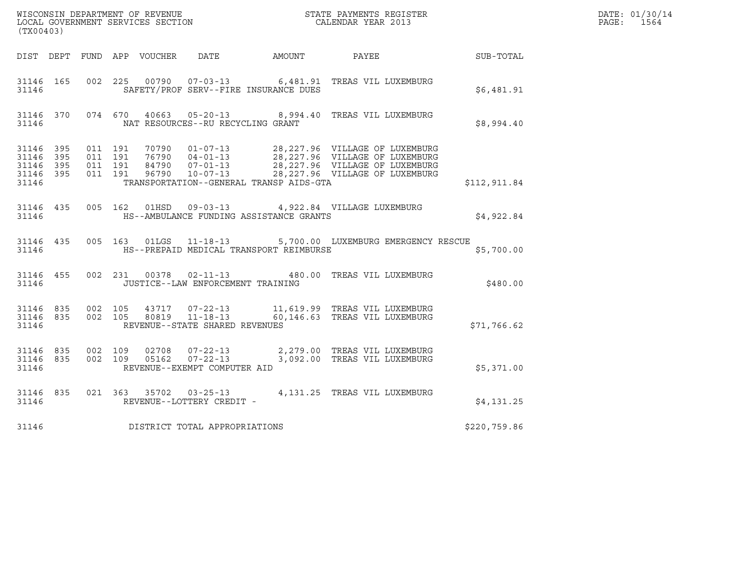| (TX00403)          |                        |                                                    |  |  |                                   |                                               |                                                                                                                                                                                                              |                  | DATE: 01/30/14<br>PAGE: 1564 |
|--------------------|------------------------|----------------------------------------------------|--|--|-----------------------------------|-----------------------------------------------|--------------------------------------------------------------------------------------------------------------------------------------------------------------------------------------------------------------|------------------|------------------------------|
|                    |                        |                                                    |  |  |                                   | DIST DEPT FUND APP VOUCHER DATE AMOUNT PAYEE  |                                                                                                                                                                                                              | <b>SUB-TOTAL</b> |                              |
| 31146 165<br>31146 |                        |                                                    |  |  |                                   | SAFETY/PROF SERV--FIRE INSURANCE DUES         | 002 225 00790 07-03-13 6,481.91 TREAS VIL LUXEMBURG                                                                                                                                                          | \$6,481.91       |                              |
| 31146              |                        |                                                    |  |  | NAT RESOURCES--RU RECYCLING GRANT |                                               | 31146 370 074 670 40663 05-20-13 8,994.40 TREAS VIL LUXEMBURG                                                                                                                                                | \$8,994.40       |                              |
| 31146 395<br>31146 | 31146 395<br>31146 395 | 31146 395 011 191<br>011 191<br>011 191<br>011 191 |  |  |                                   | TRANSPORTATION--GENERAL TRANSP AIDS-GTA       | 70790  01-07-13  28,227.96  VILLAGE OF LUXEMBURG<br>76790  04-01-13  28,227.96  VILLAGE OF LUXEMBURG<br>84790  07-01-13  28,227.96  VILLAGE OF LUXEMBURG<br>96790  10-07-13  28,227.96  VILLAGE OF LUXEMBURG | \$112,911.84     |                              |
| 31146              |                        |                                                    |  |  |                                   | HS--AMBULANCE FUNDING ASSISTANCE GRANTS       | 31146 435 005 162 01HSD 09-03-13 4,922.84 VILLAGE LUXEMBURG                                                                                                                                                  | \$4,922.84       |                              |
|                    |                        |                                                    |  |  |                                   | 31146 MS--PREPAID MEDICAL TRANSPORT REIMBURSE | 31146 435 005 163 01LGS 11-18-13 5,700.00 LUXEMBURG EMERGENCY RESCUE                                                                                                                                         | \$5,700.00       |                              |
| 31146              |                        |                                                    |  |  | JUSTICE--LAW ENFORCEMENT TRAINING |                                               | 31146 455 002 231 00378 02-11-13 480.00 TREAS VIL LUXEMBURG                                                                                                                                                  | \$480.00         |                              |
| 31146              |                        | 31146 835 002 105                                  |  |  | REVENUE--STATE SHARED REVENUES    |                                               | 43717  07-22-13   11,619.99   TREAS VIL LUXEMBURG<br>31146 835 002 105 80819 11-18-13 60,146.63 TREAS VIL LUXEMBURG                                                                                          | \$71,766.62      |                              |
| 31146              | 31146 835              | 31146 835 002 109                                  |  |  | REVENUE--EXEMPT COMPUTER AID      |                                               | 02708  07-22-13  2,279.00 TREAS VIL LUXEMBURG<br>002 109 05162 07-22-13 3,092.00 TREAS VIL LUXEMBURG                                                                                                         | \$5,371.00       |                              |
| 31146 835<br>31146 |                        |                                                    |  |  | REVENUE--LOTTERY CREDIT -         |                                               | 021 363 35702 03-25-13 4,131.25 TREAS VIL LUXEMBURG                                                                                                                                                          | \$4,131.25       |                              |
| 31146              |                        |                                                    |  |  | DISTRICT TOTAL APPROPRIATIONS     |                                               |                                                                                                                                                                                                              | \$220,759.86     |                              |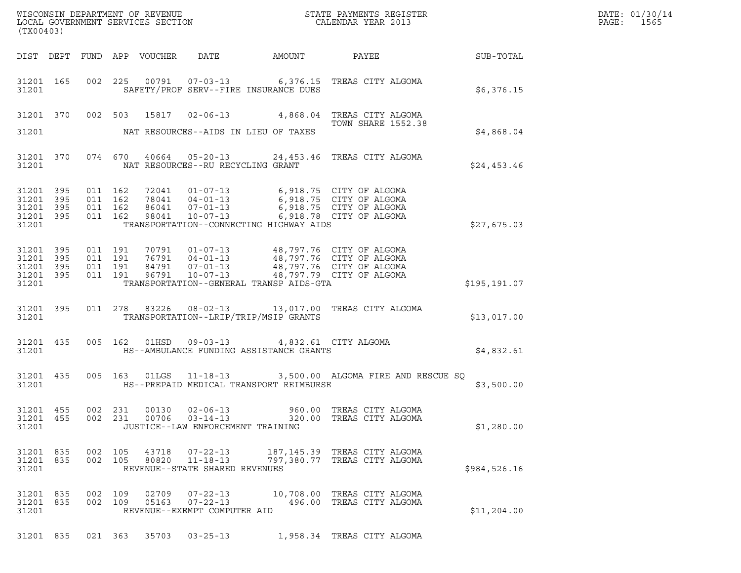| DATE: | 01/30/14 |
|-------|----------|
| PAGE: | 1565     |

| (TX00403)                                                 |     |                    |                    |                |                                                                                        |                                                                                                                                                                             |              | DATE: 01/30/14<br>$\mathtt{PAGE:}$<br>1565 |
|-----------------------------------------------------------|-----|--------------------|--------------------|----------------|----------------------------------------------------------------------------------------|-----------------------------------------------------------------------------------------------------------------------------------------------------------------------------|--------------|--------------------------------------------|
|                                                           |     |                    |                    |                |                                                                                        |                                                                                                                                                                             |              |                                            |
| 31201 165<br>31201                                        |     |                    |                    |                | SAFETY/PROF SERV--FIRE INSURANCE DUES                                                  | 002 225 00791 07-03-13 6,376.15 TREAS CITY ALGOMA                                                                                                                           | \$6,376.15   |                                            |
|                                                           |     |                    |                    |                |                                                                                        | 31201 370 002 503 15817 02-06-13 4,868.04 TREAS CITY ALGOMA<br><b>TOWN SHARE 1552.38</b>                                                                                    |              |                                            |
| 31201                                                     |     |                    |                    |                | NAT RESOURCES--AIDS IN LIEU OF TAXES                                                   |                                                                                                                                                                             | \$4,868.04   |                                            |
| 31201 370<br>31201                                        |     |                    |                    |                | NAT RESOURCES--RU RECYCLING GRANT                                                      | 074 670 40664 05-20-13 24,453.46 TREAS CITY ALGOMA                                                                                                                          | \$24,453.46  |                                            |
| 31201 395<br>31201 395<br>31201 395<br>31201 395<br>31201 |     | 011 162<br>011 162 | 011 162<br>011 162 |                | TRANSPORTATION--CONNECTING HIGHWAY AIDS                                                |                                                                                                                                                                             | \$27,675.03  |                                            |
| 31201 395<br>31201<br>31201 395<br>31201 395<br>31201     | 395 | 011 191<br>011 191 | 011 191<br>011 191 |                | TRANSPORTATION--GENERAL TRANSP AIDS-GTA                                                | 70791  01-07-13  48,797.76  CITY OF ALGOMA<br>76791 04-01-13 48,797.76 CITY OF ALGOMA<br>84791 07-01-13 48,797.76 CITY OF ALGOMA<br>96791 10-07-13 48,797.79 CITY OF ALGOMA | \$195,191.07 |                                            |
| 31201 395<br>31201                                        |     |                    |                    |                | TRANSPORTATION--LRIP/TRIP/MSIP GRANTS                                                  | 011 278 83226 08-02-13 13,017.00 TREAS CITY ALGOMA                                                                                                                          | \$13,017.00  |                                            |
| 31201 435<br>31201                                        |     |                    |                    |                | 005 162 01HSD 09-03-13 4,832.61 CITY ALGOMA<br>HS--AMBULANCE FUNDING ASSISTANCE GRANTS |                                                                                                                                                                             | \$4,832.61   |                                            |
| 31201 435<br>31201                                        |     |                    |                    |                | HS--PREPAID MEDICAL TRANSPORT REIMBURSE                                                | 005 163 01LGS 11-18-13 3,500.00 ALGOMA FIRE AND RESCUE SQ                                                                                                                   | \$3,500.00   |                                            |
| 31201 455<br>31201 455<br>31201                           |     | 002                | 231<br>002 231     | 00130<br>00706 | $02 - 06 - 13$<br>$03 - 14 - 13$<br>JUSTICE--LAW ENFORCEMENT TRAINING                  | 960.00 TREAS CITY ALGOMA<br>320.00 TREAS CITY ALGOMA                                                                                                                        | \$1,280.00   |                                            |
| 31201 835<br>31201 835<br>31201                           |     | 002 105<br>002 105 |                    | 43718<br>80820 | 07-22-13<br>11-18-13<br>REVENUE--STATE SHARED REVENUES                                 | 187,145.39 TREAS CITY ALGOMA<br>797,380.77 TREAS CITY ALGOMA                                                                                                                | \$984,526.16 |                                            |
| 31201 835<br>31201 835<br>31201                           |     | 002 109            | 002 109            | 02709<br>05163 | $07 - 22 - 13$<br>$07 - 22 - 13$<br>REVENUE--EXEMPT COMPUTER AID                       | 10,708.00 TREAS CITY ALGOMA<br>496.00 TREAS CITY ALGOMA                                                                                                                     | \$11,204.00  |                                            |

31201 835 021 363 35703 03-25-13 1,958.34 TREAS CITY ALGOMA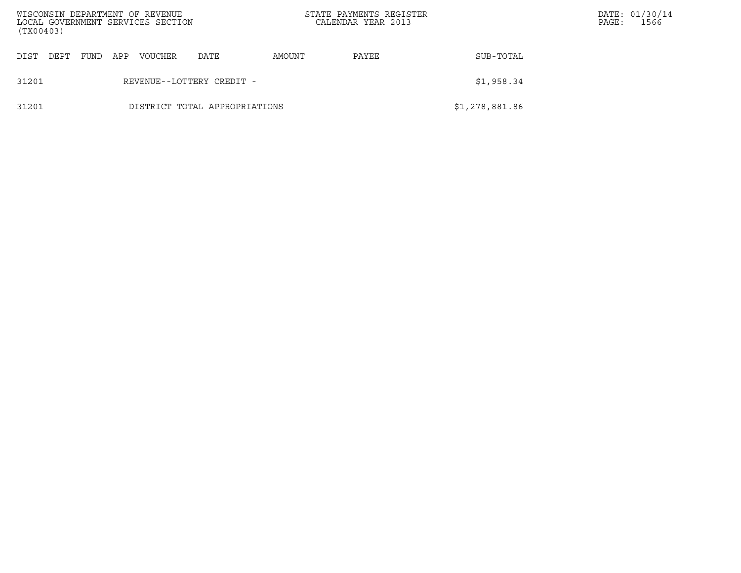| (TX00403) |                           |      |     | WISCONSIN DEPARTMENT OF REVENUE<br>LOCAL GOVERNMENT SERVICES SECTION |                               | STATE PAYMENTS REGISTER<br>CALENDAR YEAR 2013 |       | PAGE:          | DATE: 01/30/14<br>1566 |  |
|-----------|---------------------------|------|-----|----------------------------------------------------------------------|-------------------------------|-----------------------------------------------|-------|----------------|------------------------|--|
| DIST      | DEPT                      | FUND | APP | <b>VOUCHER</b>                                                       | DATE                          | AMOUNT                                        | PAYEE | SUB-TOTAL      |                        |  |
| 31201     | REVENUE--LOTTERY CREDIT - |      |     |                                                                      |                               |                                               |       | \$1,958.34     |                        |  |
| 31201     |                           |      |     |                                                                      | DISTRICT TOTAL APPROPRIATIONS |                                               |       | \$1,278,881.86 |                        |  |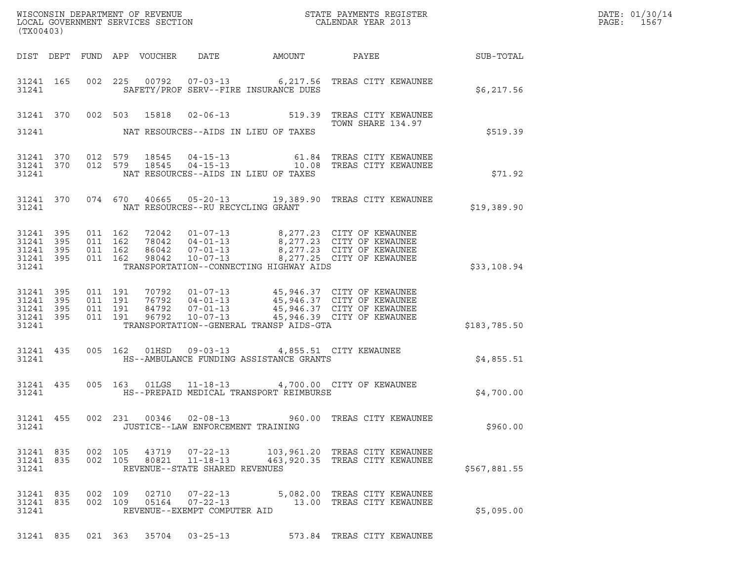| (TX00403)                                             |           |                    |                                          |                                 |                                                                    |                                                                                          |                                                                                                                                                                                              |                  | DATE: 01/30/14<br>PAGE:<br>1567 |
|-------------------------------------------------------|-----------|--------------------|------------------------------------------|---------------------------------|--------------------------------------------------------------------|------------------------------------------------------------------------------------------|----------------------------------------------------------------------------------------------------------------------------------------------------------------------------------------------|------------------|---------------------------------|
|                                                       |           |                    |                                          | DIST DEPT FUND APP VOUCHER DATE |                                                                    | AMOUNT                                                                                   | PAYEE                                                                                                                                                                                        | <b>SUB-TOTAL</b> |                                 |
| 31241                                                 | 31241 165 |                    |                                          |                                 |                                                                    | SAFETY/PROF SERV--FIRE INSURANCE DUES                                                    | 002 225 00792 07-03-13 6,217.56 TREAS CITY KEWAUNEE                                                                                                                                          | \$6,217.56       |                                 |
|                                                       |           |                    |                                          | 31241 370 002 503 15818         |                                                                    |                                                                                          | 02-06-13 519.39 TREAS CITY KEWAUNEE<br>TOWN SHARE 134.97                                                                                                                                     |                  |                                 |
| 31241                                                 |           |                    |                                          |                                 |                                                                    | NAT RESOURCES--AIDS IN LIEU OF TAXES                                                     |                                                                                                                                                                                              | \$519.39         |                                 |
| 31241 370<br>31241                                    | 31241 370 | 012 579            |                                          | 18545<br>012 579 18545          |                                                                    | NAT RESOURCES--AIDS IN LIEU OF TAXES                                                     | 04-15-13 61.84 TREAS CITY KEWAUNEE<br>04-15-13 10.08 TREAS CITY KEWAUNEE                                                                                                                     | \$71.92          |                                 |
| 31241                                                 | 31241 370 |                    |                                          |                                 | NAT RESOURCES--RU RECYCLING GRANT                                  |                                                                                          | 074 670 40665 05-20-13 19,389.90 TREAS CITY KEWAUNEE                                                                                                                                         | \$19,389.90      |                                 |
| 31241 395<br>31241<br>31241 395<br>31241 395<br>31241 | 395       | 011 162<br>011 162 | 011 162<br>011 162                       |                                 | 72042  01-07-13<br>78042  04-01-13<br>86042 07-01-13               | TRANSPORTATION--CONNECTING HIGHWAY AIDS                                                  | 8,277.23 CITY OF KEWAUNEE<br>$8,277.23$ CITY OF KEWAUNEE<br>8,277.23 CITY OF KEWAUNEE<br>86042  07-01-13  8,277.23  CITY OF KEWAUNEE<br>98042  10-07-13  8,277.25  CITY OF KEWAUNEE          | \$33,108.94      |                                 |
| 31241<br>31241 395<br>31241 395<br>31241 395<br>31241 | 395       |                    | 011 191<br>011 191<br>011 191<br>011 191 |                                 |                                                                    | TRANSPORTATION--GENERAL TRANSP AIDS-GTA                                                  | 70792  01-07-13  45,946.37  CITY OF KEWAUNEE<br>76792  04-01-13  45,946.37  CITY OF KEWAUNEE<br>84792  07-01-13  45,946.37  CITY OF KEWAUNEE<br>96792  10-07-13  45,946.39  CITY OF KEWAUNEE | \$183,785.50     |                                 |
| 31241                                                 | 31241 435 |                    |                                          |                                 |                                                                    | 005 162 01HSD 09-03-13 4,855.51 CITY KEWAUNEE<br>HS--AMBULANCE FUNDING ASSISTANCE GRANTS |                                                                                                                                                                                              | \$4,855.51       |                                 |
| 31241 435<br>31241                                    |           |                    |                                          |                                 |                                                                    | HS--PREPAID MEDICAL TRANSPORT REIMBURSE                                                  | 005 163 01LGS 11-18-13 4,700.00 CITY OF KEWAUNEE                                                                                                                                             | \$4,700.00       |                                 |
| 31241                                                 | 31241 455 |                    |                                          |                                 | 002 231 00346 02-08-13<br>JUSTICE--LAW ENFORCEMENT TRAINING        |                                                                                          | 960.00 TREAS CITY KEWAUNEE                                                                                                                                                                   | \$960.00         |                                 |
| 31241 835<br>31241 835<br>31241                       |           |                    | 002 105<br>002 105                       | 80821                           | 43719 07-22-13<br>$11 - 18 - 13$<br>REVENUE--STATE SHARED REVENUES |                                                                                          | 103,961.20 TREAS CITY KEWAUNEE<br>463,920.35 TREAS CITY KEWAUNEE                                                                                                                             | \$567,881.55     |                                 |
| 31241 835<br>31241 835<br>31241                       |           |                    | 002 109<br>002 109                       |                                 | REVENUE--EXEMPT COMPUTER AID                                       |                                                                                          |                                                                                                                                                                                              | \$5,095.00       |                                 |
| 31241 835                                             |           |                    |                                          |                                 | 021 363 35704 03-25-13                                             |                                                                                          | 573.84 TREAS CITY KEWAUNEE                                                                                                                                                                   |                  |                                 |